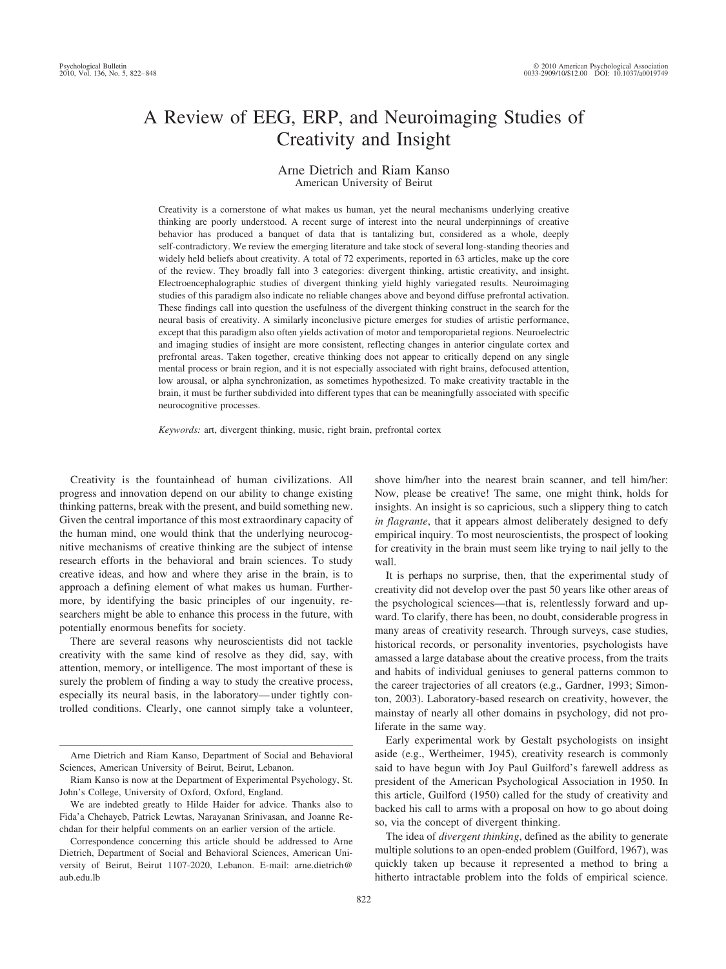# A Review of EEG, ERP, and Neuroimaging Studies of Creativity and Insight

## Arne Dietrich and Riam Kanso American University of Beirut

Creativity is a cornerstone of what makes us human, yet the neural mechanisms underlying creative thinking are poorly understood. A recent surge of interest into the neural underpinnings of creative behavior has produced a banquet of data that is tantalizing but, considered as a whole, deeply self-contradictory. We review the emerging literature and take stock of several long-standing theories and widely held beliefs about creativity. A total of 72 experiments, reported in 63 articles, make up the core of the review. They broadly fall into 3 categories: divergent thinking, artistic creativity, and insight. Electroencephalographic studies of divergent thinking yield highly variegated results. Neuroimaging studies of this paradigm also indicate no reliable changes above and beyond diffuse prefrontal activation. These findings call into question the usefulness of the divergent thinking construct in the search for the neural basis of creativity. A similarly inconclusive picture emerges for studies of artistic performance, except that this paradigm also often yields activation of motor and temporoparietal regions. Neuroelectric and imaging studies of insight are more consistent, reflecting changes in anterior cingulate cortex and prefrontal areas. Taken together, creative thinking does not appear to critically depend on any single mental process or brain region, and it is not especially associated with right brains, defocused attention, low arousal, or alpha synchronization, as sometimes hypothesized. To make creativity tractable in the brain, it must be further subdivided into different types that can be meaningfully associated with specific neurocognitive processes.

*Keywords:* art, divergent thinking, music, right brain, prefrontal cortex

Creativity is the fountainhead of human civilizations. All progress and innovation depend on our ability to change existing thinking patterns, break with the present, and build something new. Given the central importance of this most extraordinary capacity of the human mind, one would think that the underlying neurocognitive mechanisms of creative thinking are the subject of intense research efforts in the behavioral and brain sciences. To study creative ideas, and how and where they arise in the brain, is to approach a defining element of what makes us human. Furthermore, by identifying the basic principles of our ingenuity, researchers might be able to enhance this process in the future, with potentially enormous benefits for society.

There are several reasons why neuroscientists did not tackle creativity with the same kind of resolve as they did, say, with attention, memory, or intelligence. The most important of these is surely the problem of finding a way to study the creative process, especially its neural basis, in the laboratory—under tightly controlled conditions. Clearly, one cannot simply take a volunteer, shove him/her into the nearest brain scanner, and tell him/her: Now, please be creative! The same, one might think, holds for insights. An insight is so capricious, such a slippery thing to catch *in flagrante*, that it appears almost deliberately designed to defy empirical inquiry. To most neuroscientists, the prospect of looking for creativity in the brain must seem like trying to nail jelly to the wall.

It is perhaps no surprise, then, that the experimental study of creativity did not develop over the past 50 years like other areas of the psychological sciences—that is, relentlessly forward and upward. To clarify, there has been, no doubt, considerable progress in many areas of creativity research. Through surveys, case studies, historical records, or personality inventories, psychologists have amassed a large database about the creative process, from the traits and habits of individual geniuses to general patterns common to the career trajectories of all creators (e.g., Gardner, 1993; Simonton, 2003). Laboratory-based research on creativity, however, the mainstay of nearly all other domains in psychology, did not proliferate in the same way.

Early experimental work by Gestalt psychologists on insight aside (e.g., Wertheimer, 1945), creativity research is commonly said to have begun with Joy Paul Guilford's farewell address as president of the American Psychological Association in 1950. In this article, Guilford (1950) called for the study of creativity and backed his call to arms with a proposal on how to go about doing so, via the concept of divergent thinking.

The idea of *divergent thinking*, defined as the ability to generate multiple solutions to an open-ended problem (Guilford, 1967), was quickly taken up because it represented a method to bring a hitherto intractable problem into the folds of empirical science.

Arne Dietrich and Riam Kanso, Department of Social and Behavioral Sciences, American University of Beirut, Beirut, Lebanon.

Riam Kanso is now at the Department of Experimental Psychology, St. John's College, University of Oxford, Oxford, England.

We are indebted greatly to Hilde Haider for advice. Thanks also to Fida'a Chehayeb, Patrick Lewtas, Narayanan Srinivasan, and Joanne Rechdan for their helpful comments on an earlier version of the article.

Correspondence concerning this article should be addressed to Arne Dietrich, Department of Social and Behavioral Sciences, American University of Beirut, Beirut 1107-2020, Lebanon. E-mail: arne.dietrich@ aub.edu.lb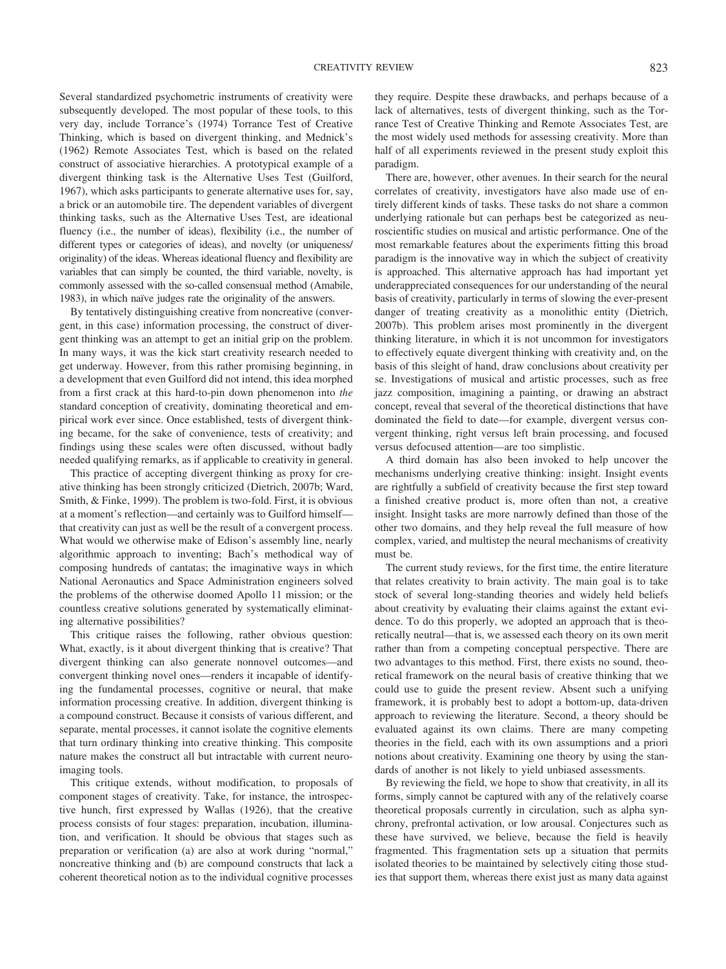Several standardized psychometric instruments of creativity were subsequently developed. The most popular of these tools, to this very day, include Torrance's (1974) Torrance Test of Creative Thinking, which is based on divergent thinking, and Mednick's (1962) Remote Associates Test, which is based on the related construct of associative hierarchies. A prototypical example of a divergent thinking task is the Alternative Uses Test (Guilford, 1967), which asks participants to generate alternative uses for, say, a brick or an automobile tire. The dependent variables of divergent thinking tasks, such as the Alternative Uses Test, are ideational fluency (i.e., the number of ideas), flexibility (i.e., the number of different types or categories of ideas), and novelty (or uniqueness/ originality) of the ideas. Whereas ideational fluency and flexibility are variables that can simply be counted, the third variable, novelty, is commonly assessed with the so-called consensual method (Amabile, 1983), in which naïve judges rate the originality of the answers.

By tentatively distinguishing creative from noncreative (convergent, in this case) information processing, the construct of divergent thinking was an attempt to get an initial grip on the problem. In many ways, it was the kick start creativity research needed to get underway. However, from this rather promising beginning, in a development that even Guilford did not intend, this idea morphed from a first crack at this hard-to-pin down phenomenon into *the* standard conception of creativity, dominating theoretical and empirical work ever since. Once established, tests of divergent thinking became, for the sake of convenience, tests of creativity; and findings using these scales were often discussed, without badly needed qualifying remarks, as if applicable to creativity in general.

This practice of accepting divergent thinking as proxy for creative thinking has been strongly criticized (Dietrich, 2007b; Ward, Smith, & Finke, 1999). The problem is two-fold. First, it is obvious at a moment's reflection—and certainly was to Guilford himself that creativity can just as well be the result of a convergent process. What would we otherwise make of Edison's assembly line, nearly algorithmic approach to inventing; Bach's methodical way of composing hundreds of cantatas; the imaginative ways in which National Aeronautics and Space Administration engineers solved the problems of the otherwise doomed Apollo 11 mission; or the countless creative solutions generated by systematically eliminating alternative possibilities?

This critique raises the following, rather obvious question: What, exactly, is it about divergent thinking that is creative? That divergent thinking can also generate nonnovel outcomes—and convergent thinking novel ones—renders it incapable of identifying the fundamental processes, cognitive or neural, that make information processing creative. In addition, divergent thinking is a compound construct. Because it consists of various different, and separate, mental processes, it cannot isolate the cognitive elements that turn ordinary thinking into creative thinking. This composite nature makes the construct all but intractable with current neuroimaging tools.

This critique extends, without modification, to proposals of component stages of creativity. Take, for instance, the introspective hunch, first expressed by Wallas (1926), that the creative process consists of four stages: preparation, incubation, illumination, and verification. It should be obvious that stages such as preparation or verification (a) are also at work during "normal," noncreative thinking and (b) are compound constructs that lack a coherent theoretical notion as to the individual cognitive processes

they require. Despite these drawbacks, and perhaps because of a lack of alternatives, tests of divergent thinking, such as the Torrance Test of Creative Thinking and Remote Associates Test, are the most widely used methods for assessing creativity. More than half of all experiments reviewed in the present study exploit this paradigm.

There are, however, other avenues. In their search for the neural correlates of creativity, investigators have also made use of entirely different kinds of tasks. These tasks do not share a common underlying rationale but can perhaps best be categorized as neuroscientific studies on musical and artistic performance. One of the most remarkable features about the experiments fitting this broad paradigm is the innovative way in which the subject of creativity is approached. This alternative approach has had important yet underappreciated consequences for our understanding of the neural basis of creativity, particularly in terms of slowing the ever-present danger of treating creativity as a monolithic entity (Dietrich, 2007b). This problem arises most prominently in the divergent thinking literature, in which it is not uncommon for investigators to effectively equate divergent thinking with creativity and, on the basis of this sleight of hand, draw conclusions about creativity per se. Investigations of musical and artistic processes, such as free jazz composition, imagining a painting, or drawing an abstract concept, reveal that several of the theoretical distinctions that have dominated the field to date—for example, divergent versus convergent thinking, right versus left brain processing, and focused versus defocused attention—are too simplistic.

A third domain has also been invoked to help uncover the mechanisms underlying creative thinking: insight. Insight events are rightfully a subfield of creativity because the first step toward a finished creative product is, more often than not, a creative insight. Insight tasks are more narrowly defined than those of the other two domains, and they help reveal the full measure of how complex, varied, and multistep the neural mechanisms of creativity must be.

The current study reviews, for the first time, the entire literature that relates creativity to brain activity. The main goal is to take stock of several long-standing theories and widely held beliefs about creativity by evaluating their claims against the extant evidence. To do this properly, we adopted an approach that is theoretically neutral—that is, we assessed each theory on its own merit rather than from a competing conceptual perspective. There are two advantages to this method. First, there exists no sound, theoretical framework on the neural basis of creative thinking that we could use to guide the present review. Absent such a unifying framework, it is probably best to adopt a bottom-up, data-driven approach to reviewing the literature. Second, a theory should be evaluated against its own claims. There are many competing theories in the field, each with its own assumptions and a priori notions about creativity. Examining one theory by using the standards of another is not likely to yield unbiased assessments.

By reviewing the field, we hope to show that creativity, in all its forms, simply cannot be captured with any of the relatively coarse theoretical proposals currently in circulation, such as alpha synchrony, prefrontal activation, or low arousal. Conjectures such as these have survived, we believe, because the field is heavily fragmented. This fragmentation sets up a situation that permits isolated theories to be maintained by selectively citing those studies that support them, whereas there exist just as many data against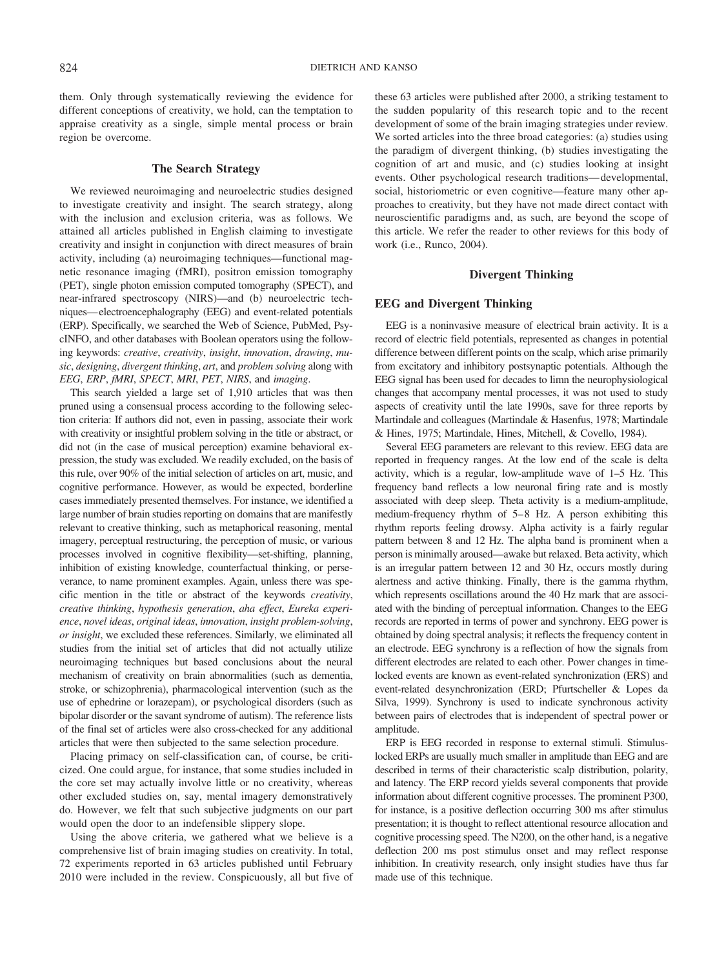them. Only through systematically reviewing the evidence for different conceptions of creativity, we hold, can the temptation to appraise creativity as a single, simple mental process or brain region be overcome.

### **The Search Strategy**

We reviewed neuroimaging and neuroelectric studies designed to investigate creativity and insight. The search strategy, along with the inclusion and exclusion criteria, was as follows. We attained all articles published in English claiming to investigate creativity and insight in conjunction with direct measures of brain activity, including (a) neuroimaging techniques—functional magnetic resonance imaging (fMRI), positron emission tomography (PET), single photon emission computed tomography (SPECT), and near-infrared spectroscopy (NIRS)—and (b) neuroelectric techniques—electroencephalography (EEG) and event-related potentials (ERP). Specifically, we searched the Web of Science, PubMed, PsycINFO, and other databases with Boolean operators using the following keywords: *creative*, *creativity*, *insight*, *innovation*, *drawing*, *music*, *designing*, *divergent thinking*, *art*, and *problem solving* along with *EEG*, *ERP*, *fMRI*, *SPECT*, *MRI*, *PET*, *NIRS*, and *imaging*.

This search yielded a large set of 1,910 articles that was then pruned using a consensual process according to the following selection criteria: If authors did not, even in passing, associate their work with creativity or insightful problem solving in the title or abstract, or did not (in the case of musical perception) examine behavioral expression, the study was excluded. We readily excluded, on the basis of this rule, over 90% of the initial selection of articles on art, music, and cognitive performance. However, as would be expected, borderline cases immediately presented themselves. For instance, we identified a large number of brain studies reporting on domains that are manifestly relevant to creative thinking, such as metaphorical reasoning, mental imagery, perceptual restructuring, the perception of music, or various processes involved in cognitive flexibility—set-shifting, planning, inhibition of existing knowledge, counterfactual thinking, or perseverance, to name prominent examples. Again, unless there was specific mention in the title or abstract of the keywords *creativity*, *creative thinking*, *hypothesis generation*, *aha effect*, *Eureka experience*, *novel ideas*, *original ideas*, *innovation*, *insight problem-solving*, *or insight*, we excluded these references. Similarly, we eliminated all studies from the initial set of articles that did not actually utilize neuroimaging techniques but based conclusions about the neural mechanism of creativity on brain abnormalities (such as dementia, stroke, or schizophrenia), pharmacological intervention (such as the use of ephedrine or lorazepam), or psychological disorders (such as bipolar disorder or the savant syndrome of autism). The reference lists of the final set of articles were also cross-checked for any additional articles that were then subjected to the same selection procedure.

Placing primacy on self-classification can, of course, be criticized. One could argue, for instance, that some studies included in the core set may actually involve little or no creativity, whereas other excluded studies on, say, mental imagery demonstratively do. However, we felt that such subjective judgments on our part would open the door to an indefensible slippery slope.

Using the above criteria, we gathered what we believe is a comprehensive list of brain imaging studies on creativity. In total, 72 experiments reported in 63 articles published until February 2010 were included in the review. Conspicuously, all but five of these 63 articles were published after 2000, a striking testament to the sudden popularity of this research topic and to the recent development of some of the brain imaging strategies under review. We sorted articles into the three broad categories: (a) studies using the paradigm of divergent thinking, (b) studies investigating the cognition of art and music, and (c) studies looking at insight events. Other psychological research traditions—developmental, social, historiometric or even cognitive—feature many other approaches to creativity, but they have not made direct contact with neuroscientific paradigms and, as such, are beyond the scope of this article. We refer the reader to other reviews for this body of work (i.e., Runco, 2004).

#### **Divergent Thinking**

#### **EEG and Divergent Thinking**

EEG is a noninvasive measure of electrical brain activity. It is a record of electric field potentials, represented as changes in potential difference between different points on the scalp, which arise primarily from excitatory and inhibitory postsynaptic potentials. Although the EEG signal has been used for decades to limn the neurophysiological changes that accompany mental processes, it was not used to study aspects of creativity until the late 1990s, save for three reports by Martindale and colleagues (Martindale & Hasenfus, 1978; Martindale & Hines, 1975; Martindale, Hines, Mitchell, & Covello, 1984).

Several EEG parameters are relevant to this review. EEG data are reported in frequency ranges. At the low end of the scale is delta activity, which is a regular, low-amplitude wave of 1–5 Hz. This frequency band reflects a low neuronal firing rate and is mostly associated with deep sleep. Theta activity is a medium-amplitude, medium-frequency rhythm of 5–8 Hz. A person exhibiting this rhythm reports feeling drowsy. Alpha activity is a fairly regular pattern between 8 and 12 Hz. The alpha band is prominent when a person is minimally aroused—awake but relaxed. Beta activity, which is an irregular pattern between 12 and 30 Hz, occurs mostly during alertness and active thinking. Finally, there is the gamma rhythm, which represents oscillations around the 40 Hz mark that are associated with the binding of perceptual information. Changes to the EEG records are reported in terms of power and synchrony. EEG power is obtained by doing spectral analysis; it reflects the frequency content in an electrode. EEG synchrony is a reflection of how the signals from different electrodes are related to each other. Power changes in timelocked events are known as event-related synchronization (ERS) and event-related desynchronization (ERD; Pfurtscheller & Lopes da Silva, 1999). Synchrony is used to indicate synchronous activity between pairs of electrodes that is independent of spectral power or amplitude.

ERP is EEG recorded in response to external stimuli. Stimuluslocked ERPs are usually much smaller in amplitude than EEG and are described in terms of their characteristic scalp distribution, polarity, and latency. The ERP record yields several components that provide information about different cognitive processes. The prominent P300, for instance, is a positive deflection occurring 300 ms after stimulus presentation; it is thought to reflect attentional resource allocation and cognitive processing speed. The N200, on the other hand, is a negative deflection 200 ms post stimulus onset and may reflect response inhibition. In creativity research, only insight studies have thus far made use of this technique.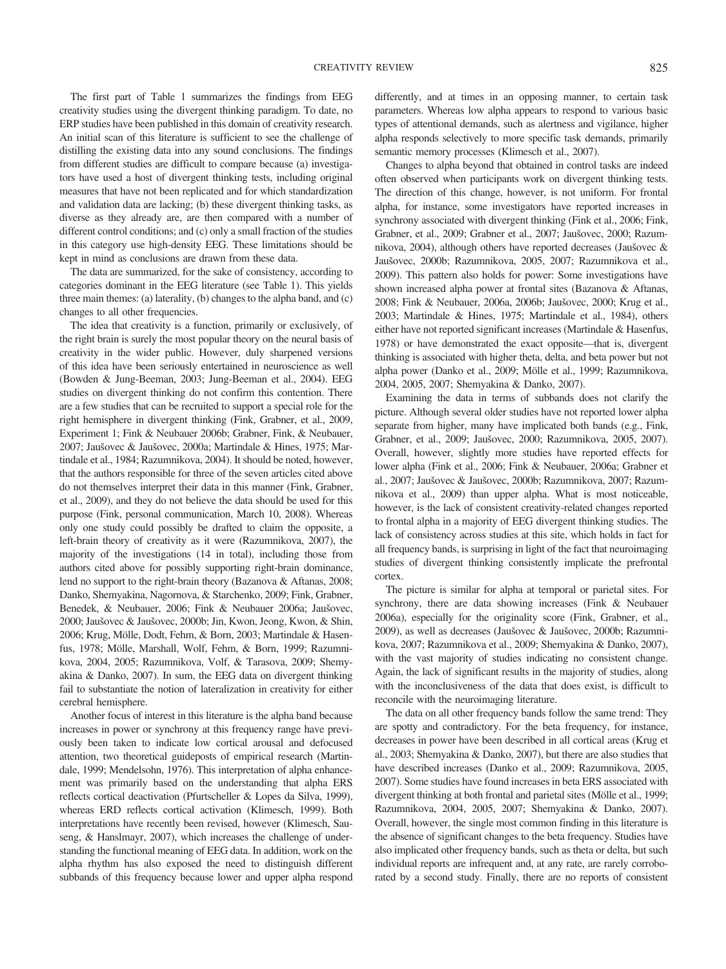The first part of Table 1 summarizes the findings from EEG creativity studies using the divergent thinking paradigm. To date, no ERP studies have been published in this domain of creativity research. An initial scan of this literature is sufficient to see the challenge of distilling the existing data into any sound conclusions. The findings from different studies are difficult to compare because (a) investigators have used a host of divergent thinking tests, including original measures that have not been replicated and for which standardization and validation data are lacking; (b) these divergent thinking tasks, as diverse as they already are, are then compared with a number of different control conditions; and (c) only a small fraction of the studies in this category use high-density EEG. These limitations should be kept in mind as conclusions are drawn from these data.

The data are summarized, for the sake of consistency, according to categories dominant in the EEG literature (see Table 1). This yields three main themes: (a) laterality, (b) changes to the alpha band, and (c) changes to all other frequencies.

The idea that creativity is a function, primarily or exclusively, of the right brain is surely the most popular theory on the neural basis of creativity in the wider public. However, duly sharpened versions of this idea have been seriously entertained in neuroscience as well (Bowden & Jung-Beeman, 2003; Jung-Beeman et al., 2004). EEG studies on divergent thinking do not confirm this contention. There are a few studies that can be recruited to support a special role for the right hemisphere in divergent thinking (Fink, Grabner, et al., 2009, Experiment 1; Fink & Neubauer 2006b; Grabner, Fink, & Neubauer, 2007; Jaušovec & Jaušovec, 2000a; Martindale & Hines, 1975; Martindale et al., 1984; Razumnikova, 2004). It should be noted, however, that the authors responsible for three of the seven articles cited above do not themselves interpret their data in this manner (Fink, Grabner, et al., 2009), and they do not believe the data should be used for this purpose (Fink, personal communication, March 10, 2008). Whereas only one study could possibly be drafted to claim the opposite, a left-brain theory of creativity as it were (Razumnikova, 2007), the majority of the investigations (14 in total), including those from authors cited above for possibly supporting right-brain dominance, lend no support to the right-brain theory (Bazanova & Aftanas, 2008; Danko, Shemyakina, Nagornova, & Starchenko, 2009; Fink, Grabner, Benedek, & Neubauer, 2006; Fink & Neubauer 2006a; Jaušovec, 2000; Jaušovec & Jaušovec, 2000b; Jin, Kwon, Jeong, Kwon, & Shin, 2006; Krug, Mölle, Dodt, Fehm, & Born, 2003; Martindale & Hasenfus, 1978; Mölle, Marshall, Wolf, Fehm, & Born, 1999; Razumnikova, 2004, 2005; Razumnikova, Volf, & Tarasova, 2009; Shemyakina & Danko, 2007). In sum, the EEG data on divergent thinking fail to substantiate the notion of lateralization in creativity for either cerebral hemisphere.

Another focus of interest in this literature is the alpha band because increases in power or synchrony at this frequency range have previously been taken to indicate low cortical arousal and defocused attention, two theoretical guideposts of empirical research (Martindale, 1999; Mendelsohn, 1976). This interpretation of alpha enhancement was primarily based on the understanding that alpha ERS reflects cortical deactivation (Pfurtscheller & Lopes da Silva, 1999), whereas ERD reflects cortical activation (Klimesch, 1999). Both interpretations have recently been revised, however (Klimesch, Sauseng, & Hanslmayr, 2007), which increases the challenge of understanding the functional meaning of EEG data. In addition, work on the alpha rhythm has also exposed the need to distinguish different subbands of this frequency because lower and upper alpha respond differently, and at times in an opposing manner, to certain task parameters. Whereas low alpha appears to respond to various basic types of attentional demands, such as alertness and vigilance, higher alpha responds selectively to more specific task demands, primarily semantic memory processes (Klimesch et al., 2007).

Changes to alpha beyond that obtained in control tasks are indeed often observed when participants work on divergent thinking tests. The direction of this change, however, is not uniform. For frontal alpha, for instance, some investigators have reported increases in synchrony associated with divergent thinking (Fink et al., 2006; Fink, Grabner, et al., 2009; Grabner et al., 2007; Jaušovec, 2000; Razumnikova, 2004), although others have reported decreases (Jaušovec  $\&$ Jaušovec, 2000b; Razumnikova, 2005, 2007; Razumnikova et al., 2009). This pattern also holds for power: Some investigations have shown increased alpha power at frontal sites (Bazanova & Aftanas, 2008; Fink & Neubauer, 2006a, 2006b; Jaušovec, 2000; Krug et al., 2003; Martindale & Hines, 1975; Martindale et al., 1984), others either have not reported significant increases (Martindale & Hasenfus, 1978) or have demonstrated the exact opposite—that is, divergent thinking is associated with higher theta, delta, and beta power but not alpha power (Danko et al., 2009; Mölle et al., 1999; Razumnikova, 2004, 2005, 2007; Shemyakina & Danko, 2007).

Examining the data in terms of subbands does not clarify the picture. Although several older studies have not reported lower alpha separate from higher, many have implicated both bands (e.g., Fink, Grabner, et al., 2009; Jaušovec, 2000; Razumnikova, 2005, 2007). Overall, however, slightly more studies have reported effects for lower alpha (Fink et al., 2006; Fink & Neubauer, 2006a; Grabner et al., 2007; Jaušovec & Jaušovec, 2000b; Razumnikova, 2007; Razumnikova et al., 2009) than upper alpha. What is most noticeable, however, is the lack of consistent creativity-related changes reported to frontal alpha in a majority of EEG divergent thinking studies. The lack of consistency across studies at this site, which holds in fact for all frequency bands, is surprising in light of the fact that neuroimaging studies of divergent thinking consistently implicate the prefrontal cortex.

The picture is similar for alpha at temporal or parietal sites. For synchrony, there are data showing increases (Fink & Neubauer 2006a), especially for the originality score (Fink, Grabner, et al., 2009), as well as decreases (Jaušovec & Jaušovec, 2000b; Razumnikova, 2007; Razumnikova et al., 2009; Shemyakina & Danko, 2007), with the vast majority of studies indicating no consistent change. Again, the lack of significant results in the majority of studies, along with the inconclusiveness of the data that does exist, is difficult to reconcile with the neuroimaging literature.

The data on all other frequency bands follow the same trend: They are spotty and contradictory. For the beta frequency, for instance, decreases in power have been described in all cortical areas (Krug et al., 2003; Shemyakina & Danko, 2007), but there are also studies that have described increases (Danko et al., 2009; Razumnikova, 2005, 2007). Some studies have found increases in beta ERS associated with divergent thinking at both frontal and parietal sites (Mölle et al., 1999; Razumnikova, 2004, 2005, 2007; Shemyakina & Danko, 2007). Overall, however, the single most common finding in this literature is the absence of significant changes to the beta frequency. Studies have also implicated other frequency bands, such as theta or delta, but such individual reports are infrequent and, at any rate, are rarely corroborated by a second study. Finally, there are no reports of consistent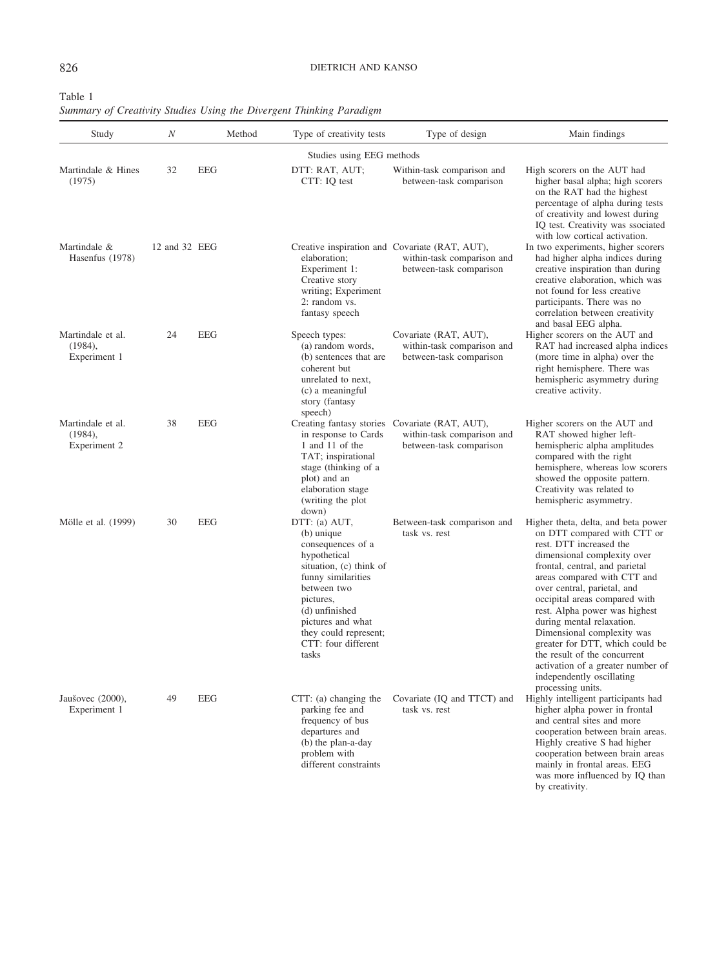| Table 1                                                             |  |  |
|---------------------------------------------------------------------|--|--|
| Summary of Creativity Studies Using the Divergent Thinking Paradigm |  |  |

| Study                                        | N             |            | Method | Type of creativity tests                                                                                                                                                                                                                      | Type of design                                                                                          | Main findings                                                                                                                                                                                                                                                                                                                                                                                                                                                                                                       |
|----------------------------------------------|---------------|------------|--------|-----------------------------------------------------------------------------------------------------------------------------------------------------------------------------------------------------------------------------------------------|---------------------------------------------------------------------------------------------------------|---------------------------------------------------------------------------------------------------------------------------------------------------------------------------------------------------------------------------------------------------------------------------------------------------------------------------------------------------------------------------------------------------------------------------------------------------------------------------------------------------------------------|
|                                              |               |            |        | Studies using EEG methods                                                                                                                                                                                                                     |                                                                                                         |                                                                                                                                                                                                                                                                                                                                                                                                                                                                                                                     |
| Martindale & Hines<br>(1975)                 | 32            | <b>EEG</b> |        | DTT: RAT, AUT;<br>CTT: IQ test                                                                                                                                                                                                                | Within-task comparison and<br>between-task comparison                                                   | High scorers on the AUT had<br>higher basal alpha; high scorers<br>on the RAT had the highest<br>percentage of alpha during tests<br>of creativity and lowest during<br>IQ test. Creativity was ssociated<br>with low cortical activation.                                                                                                                                                                                                                                                                          |
| Martindale &<br>Hasenfus (1978)              | 12 and 32 EEG |            |        | elaboration;<br>Experiment 1:<br>Creative story<br>writing; Experiment<br>2: random vs.<br>fantasy speech                                                                                                                                     | Creative inspiration and Covariate (RAT, AUT),<br>within-task comparison and<br>between-task comparison | In two experiments, higher scorers<br>had higher alpha indices during<br>creative inspiration than during<br>creative elaboration, which was<br>not found for less creative<br>participants. There was no<br>correlation between creativity<br>and basal EEG alpha.                                                                                                                                                                                                                                                 |
| Martindale et al.<br>(1984),<br>Experiment 1 | 24            | <b>EEG</b> |        | Speech types:<br>(a) random words,<br>(b) sentences that are<br>coherent but<br>unrelated to next,<br>(c) a meaningful<br>story (fantasy<br>speech)                                                                                           | Covariate (RAT, AUT),<br>within-task comparison and<br>between-task comparison                          | Higher scorers on the AUT and<br>RAT had increased alpha indices<br>(more time in alpha) over the<br>right hemisphere. There was<br>hemispheric asymmetry during<br>creative activity.                                                                                                                                                                                                                                                                                                                              |
| Martindale et al.<br>(1984),<br>Experiment 2 | 38            | <b>EEG</b> |        | in response to Cards<br>1 and 11 of the<br>TAT; inspirational<br>stage (thinking of a<br>plot) and an<br>elaboration stage<br>(writing the plot)<br>down)                                                                                     | Creating fantasy stories Covariate (RAT, AUT),<br>within-task comparison and<br>between-task comparison | Higher scorers on the AUT and<br>RAT showed higher left-<br>hemispheric alpha amplitudes<br>compared with the right<br>hemisphere, whereas low scorers<br>showed the opposite pattern.<br>Creativity was related to<br>hemispheric asymmetry.                                                                                                                                                                                                                                                                       |
| Mölle et al. (1999)                          | 30            | <b>EEG</b> |        | DTT: (a) AUT,<br>(b) unique<br>consequences of a<br>hypothetical<br>situation, (c) think of<br>funny similarities<br>between two<br>pictures,<br>(d) unfinished<br>pictures and what<br>they could represent;<br>CTT: four different<br>tasks | Between-task comparison and<br>task vs. rest                                                            | Higher theta, delta, and beta power<br>on DTT compared with CTT or<br>rest. DTT increased the<br>dimensional complexity over<br>frontal, central, and parietal<br>areas compared with CTT and<br>over central, parietal, and<br>occipital areas compared with<br>rest. Alpha power was highest<br>during mental relaxation.<br>Dimensional complexity was<br>greater for DTT, which could be<br>the result of the concurrent<br>activation of a greater number of<br>independently oscillating<br>processing units. |
| Jaušovec (2000),<br>Experiment 1             | 49            | <b>EEG</b> |        | CTT: (a) changing the<br>parking fee and<br>frequency of bus<br>departures and<br>(b) the plan-a-day<br>problem with<br>different constraints                                                                                                 | Covariate (IQ and TTCT) and<br>task vs. rest                                                            | Highly intelligent participants had<br>higher alpha power in frontal<br>and central sites and more<br>cooperation between brain areas.<br>Highly creative S had higher<br>cooperation between brain areas<br>mainly in frontal areas. EEG<br>was more influenced by IQ than<br>by creativity.                                                                                                                                                                                                                       |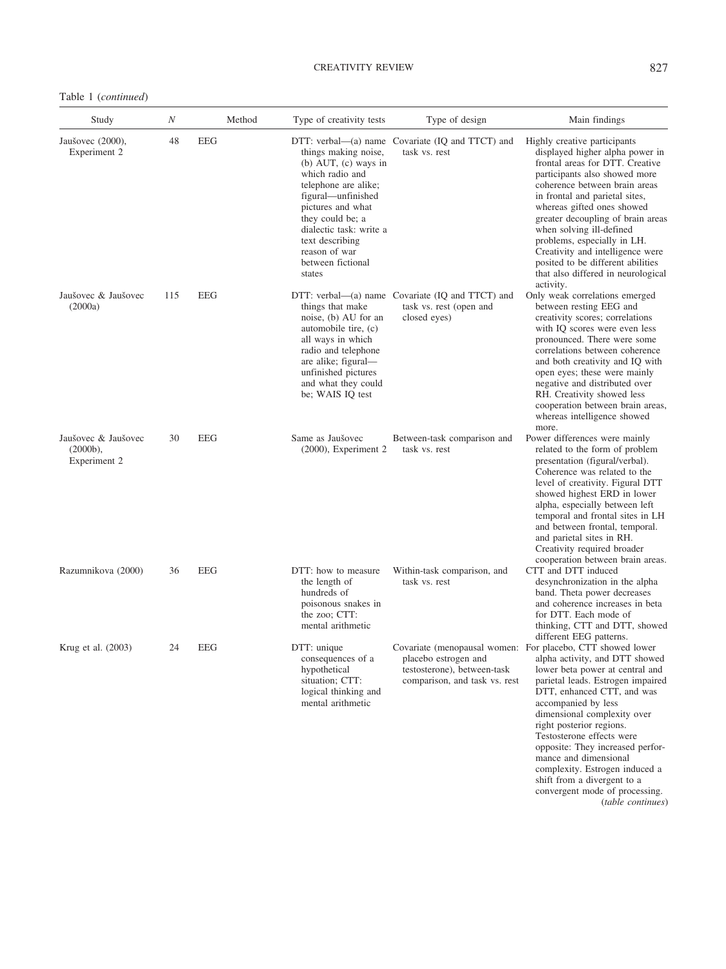## CREATIVITY REVIEW 827

Table 1 (*continued*)

| Study                                              | N   | Method     | Type of creativity tests                                                                                                                                                                                                                                 | Type of design                                                                              | Main findings                                                                                                                                                                                                                                                                                                                                                                                                                                                                                          |
|----------------------------------------------------|-----|------------|----------------------------------------------------------------------------------------------------------------------------------------------------------------------------------------------------------------------------------------------------------|---------------------------------------------------------------------------------------------|--------------------------------------------------------------------------------------------------------------------------------------------------------------------------------------------------------------------------------------------------------------------------------------------------------------------------------------------------------------------------------------------------------------------------------------------------------------------------------------------------------|
| Jaušovec (2000),<br>Experiment 2                   | 48  | <b>EEG</b> | things making noise,<br>$(b)$ AUT, $(c)$ ways in<br>which radio and<br>telephone are alike;<br>figural—unfinished<br>pictures and what<br>they could be; a<br>dialectic task: write a<br>text describing<br>reason of war<br>between fictional<br>states | DTT: verbal—(a) name Covariate (IQ and TTCT) and<br>task vs. rest                           | Highly creative participants<br>displayed higher alpha power in<br>frontal areas for DTT. Creative<br>participants also showed more<br>coherence between brain areas<br>in frontal and parietal sites,<br>whereas gifted ones showed<br>greater decoupling of brain areas<br>when solving ill-defined<br>problems, especially in LH.<br>Creativity and intelligence were<br>posited to be different abilities<br>that also differed in neurological                                                    |
| Jaušovec & Jaušovec<br>(2000a)                     | 115 | <b>EEG</b> | things that make<br>noise, (b) AU for an<br>automobile tire, (c)<br>all ways in which<br>radio and telephone<br>are alike; figural—<br>unfinished pictures<br>and what they could<br>be; WAIS IQ test                                                    | DTT: verbal—(a) name Covariate (IQ and TTCT) and<br>task vs. rest (open and<br>closed eyes) | activity.<br>Only weak correlations emerged<br>between resting EEG and<br>creativity scores; correlations<br>with IQ scores were even less<br>pronounced. There were some<br>correlations between coherence<br>and both creativity and IQ with<br>open eyes; these were mainly<br>negative and distributed over<br>RH. Creativity showed less<br>cooperation between brain areas,<br>whereas intelligence showed<br>more.                                                                              |
| Jaušovec & Jaušovec<br>$(2000b)$ ,<br>Experiment 2 | 30  | <b>EEG</b> | Same as Jaušovec<br>$(2000)$ , Experiment 2                                                                                                                                                                                                              | Between-task comparison and<br>task vs. rest                                                | Power differences were mainly<br>related to the form of problem<br>presentation (figural/verbal).<br>Coherence was related to the<br>level of creativity. Figural DTT<br>showed highest ERD in lower<br>alpha, especially between left<br>temporal and frontal sites in LH<br>and between frontal, temporal.<br>and parietal sites in RH.<br>Creativity required broader<br>cooperation between brain areas.                                                                                           |
| Razumnikova (2000)                                 | 36  | <b>EEG</b> | DTT: how to measure<br>the length of<br>hundreds of<br>poisonous snakes in<br>the zoo; CTT:<br>mental arithmetic                                                                                                                                         | Within-task comparison, and<br>task vs. rest                                                | CTT and DTT induced<br>desynchronization in the alpha<br>band. Theta power decreases<br>and coherence increases in beta<br>for DTT. Each mode of<br>thinking, CTT and DTT, showed<br>different EEG patterns.                                                                                                                                                                                                                                                                                           |
| Krug et al. (2003)                                 | 24  | <b>EEG</b> | DTT: unique<br>consequences of a<br>hypothetical<br>situation; CTT:<br>logical thinking and<br>mental arithmetic                                                                                                                                         | placebo estrogen and<br>testosterone), between-task<br>comparison, and task vs. rest        | Covariate (menopausal women: For placebo, CTT showed lower<br>alpha activity, and DTT showed<br>lower beta power at central and<br>parietal leads. Estrogen impaired<br>DTT, enhanced CTT, and was<br>accompanied by less<br>dimensional complexity over<br>right posterior regions.<br>Testosterone effects were<br>opposite: They increased perfor-<br>mance and dimensional<br>complexity. Estrogen induced a<br>shift from a divergent to a<br>convergent mode of processing.<br>(table continues) |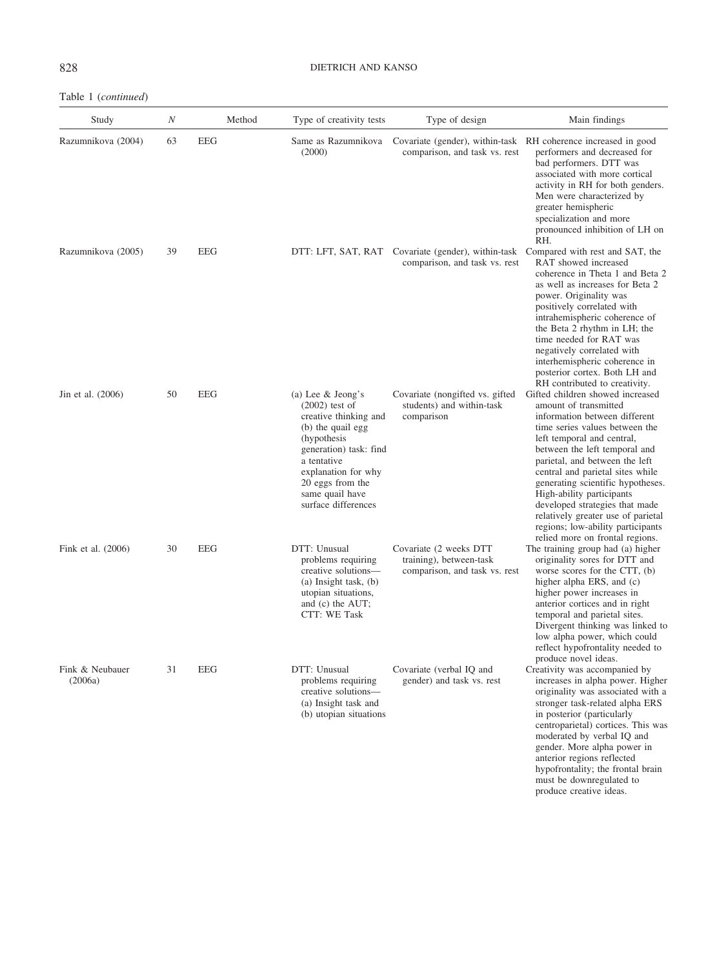Table 1 (*continued*)

| Study                      | N  |            | Method | Type of creativity tests                                                                                                                                                                                                           | Type of design                                                                      | Main findings                                                                                                                                                                                                                                                                                                                                                                                                                                                                       |
|----------------------------|----|------------|--------|------------------------------------------------------------------------------------------------------------------------------------------------------------------------------------------------------------------------------------|-------------------------------------------------------------------------------------|-------------------------------------------------------------------------------------------------------------------------------------------------------------------------------------------------------------------------------------------------------------------------------------------------------------------------------------------------------------------------------------------------------------------------------------------------------------------------------------|
| Razumnikova (2004)         | 63 | <b>EEG</b> |        | Same as Razumnikova<br>(2000)                                                                                                                                                                                                      | comparison, and task vs. rest                                                       | Covariate (gender), within-task RH coherence increased in good<br>performers and decreased for<br>bad performers. DTT was<br>associated with more cortical<br>activity in RH for both genders.<br>Men were characterized by<br>greater hemispheric<br>specialization and more<br>pronounced inhibition of LH on<br>RH.                                                                                                                                                              |
| Razumnikova (2005)         | 39 | <b>EEG</b> |        |                                                                                                                                                                                                                                    | DTT: LFT, SAT, RAT Covariate (gender), within-task<br>comparison, and task vs. rest | Compared with rest and SAT, the<br>RAT showed increased<br>coherence in Theta 1 and Beta 2<br>as well as increases for Beta 2<br>power. Originality was<br>positively correlated with<br>intrahemispheric coherence of<br>the Beta 2 rhythm in LH; the<br>time needed for RAT was<br>negatively correlated with<br>interhemispheric coherence in<br>posterior cortex. Both LH and<br>RH contributed to creativity.                                                                  |
| Jin et al. (2006)          | 50 | <b>EEG</b> |        | (a) Lee $&$ Jeong's<br>$(2002)$ test of<br>creative thinking and<br>(b) the quail egg<br>(hypothesis<br>generation) task: find<br>a tentative<br>explanation for why<br>20 eggs from the<br>same quail have<br>surface differences | Covariate (nongifted vs. gifted<br>students) and within-task<br>comparison          | Gifted children showed increased<br>amount of transmitted<br>information between different<br>time series values between the<br>left temporal and central,<br>between the left temporal and<br>parietal, and between the left<br>central and parietal sites while<br>generating scientific hypotheses.<br>High-ability participants<br>developed strategies that made<br>relatively greater use of parietal<br>regions; low-ability participants<br>relied more on frontal regions. |
| Fink et al. (2006)         | 30 | <b>EEG</b> |        | DTT: Unusual<br>problems requiring<br>creative solutions-<br>$(a)$ Insight task, $(b)$<br>utopian situations,<br>and (c) the AUT;<br>CTT: WE Task                                                                                  | Covariate (2 weeks DTT<br>training), between-task<br>comparison, and task vs. rest  | The training group had (a) higher<br>originality sores for DTT and<br>worse scores for the CTT, (b)<br>higher alpha ERS, and (c)<br>higher power increases in<br>anterior cortices and in right<br>temporal and parietal sites.<br>Divergent thinking was linked to<br>low alpha power, which could<br>reflect hypofrontality needed to<br>produce novel ideas.                                                                                                                     |
| Fink & Neubauer<br>(2006a) | 31 | <b>EEG</b> |        | DTT: Unusual<br>problems requiring<br>creative solutions-<br>(a) Insight task and<br>(b) utopian situations                                                                                                                        | Covariate (verbal IQ and<br>gender) and task vs. rest                               | Creativity was accompanied by<br>increases in alpha power. Higher<br>originality was associated with a<br>stronger task-related alpha ERS<br>in posterior (particularly<br>centroparietal) cortices. This was<br>moderated by verbal IQ and<br>gender. More alpha power in<br>anterior regions reflected<br>hypofrontality; the frontal brain<br>must be downregulated to<br>produce creative ideas.                                                                                |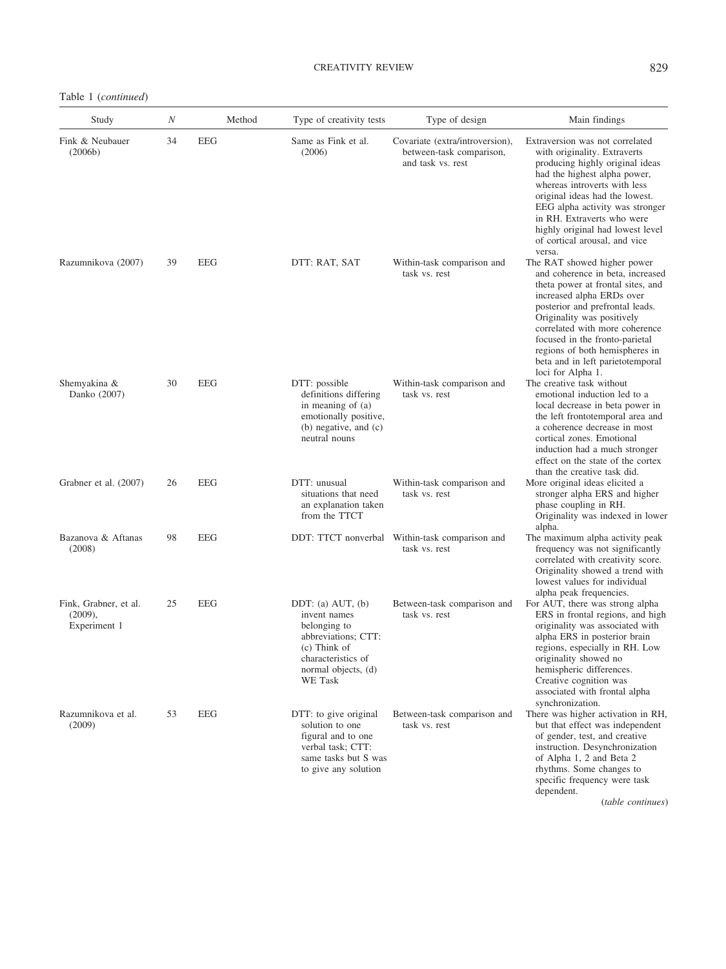Table 1 (*continued*)

| Study                                               | N  | Method     | Type of creativity tests                                                                                                                            | Type of design                                                                   | Main findings                                                                                                                                                                                                                                                                                                                                                     |
|-----------------------------------------------------|----|------------|-----------------------------------------------------------------------------------------------------------------------------------------------------|----------------------------------------------------------------------------------|-------------------------------------------------------------------------------------------------------------------------------------------------------------------------------------------------------------------------------------------------------------------------------------------------------------------------------------------------------------------|
| Fink & Neubauer<br>(2006b)                          | 34 | <b>EEG</b> | Same as Fink et al.<br>(2006)                                                                                                                       | Covariate (extra/introversion),<br>between-task comparison,<br>and task vs. rest | Extraversion was not correlated<br>with originality. Extraverts<br>producing highly original ideas<br>had the highest alpha power,<br>whereas introverts with less<br>original ideas had the lowest.<br>EEG alpha activity was stronger<br>in RH. Extraverts who were<br>highly original had lowest level<br>of cortical arousal, and vice<br>versa.              |
| Razumnikova (2007)                                  | 39 | EEG        | DTT: RAT, SAT                                                                                                                                       | Within-task comparison and<br>task vs. rest                                      | The RAT showed higher power<br>and coherence in beta, increased<br>theta power at frontal sites, and<br>increased alpha ERDs over<br>posterior and prefrontal leads.<br>Originality was positively<br>correlated with more coherence<br>focused in the fronto-parietal<br>regions of both hemispheres in<br>beta and in left parietotemporal<br>loci for Alpha 1. |
| Shemyakina &<br>Danko (2007)                        | 30 | <b>EEG</b> | DTT: possible<br>definitions differing<br>in meaning of $(a)$<br>emotionally positive,<br>$(b)$ negative, and $(c)$<br>neutral nouns                | Within-task comparison and<br>task vs. rest                                      | The creative task without<br>emotional induction led to a<br>local decrease in beta power in<br>the left frontotemporal area and<br>a coherence decrease in most<br>cortical zones. Emotional<br>induction had a much stronger<br>effect on the state of the cortex<br>than the creative task did.                                                                |
| Grabner et al. (2007)                               | 26 | EEG        | DTT: unusual<br>situations that need<br>an explanation taken<br>from the TTCT                                                                       | Within-task comparison and<br>task vs. rest                                      | More original ideas elicited a<br>stronger alpha ERS and higher<br>phase coupling in RH.<br>Originality was indexed in lower<br>alpha.                                                                                                                                                                                                                            |
| Bazanova & Aftanas<br>(2008)                        | 98 | <b>EEG</b> |                                                                                                                                                     | DDT: TTCT nonverbal Within-task comparison and<br>task vs. rest                  | The maximum alpha activity peak<br>frequency was not significantly<br>correlated with creativity score.<br>Originality showed a trend with<br>lowest values for individual<br>alpha peak frequencies.                                                                                                                                                             |
| Fink, Grabner, et al.<br>$(2009)$ ,<br>Experiment 1 | 25 | <b>EEG</b> | DDT: (a) $AUT$ , (b)<br>invent names<br>belonging to<br>abbreviations; CTT:<br>(c) Think of<br>characteristics of<br>normal objects, (d)<br>WE Task | Between-task comparison and<br>task vs. rest                                     | For AUT, there was strong alpha<br>ERS in frontal regions, and high<br>originality was associated with<br>alpha ERS in posterior brain<br>regions, especially in RH. Low<br>originality showed no<br>hemispheric differences.<br>Creative cognition was<br>associated with frontal alpha<br>synchronization.                                                      |
| Razumnikova et al.<br>(2009)                        | 53 | <b>EEG</b> | DTT: to give original<br>solution to one<br>figural and to one<br>verbal task; CTT:<br>same tasks but S was<br>to give any solution                 | Between-task comparison and<br>task vs. rest                                     | There was higher activation in RH,<br>but that effect was independent<br>of gender, test, and creative<br>instruction. Desynchronization<br>of Alpha 1, 2 and Beta 2<br>rhythms. Some changes to<br>specific frequency were task<br>dependent.                                                                                                                    |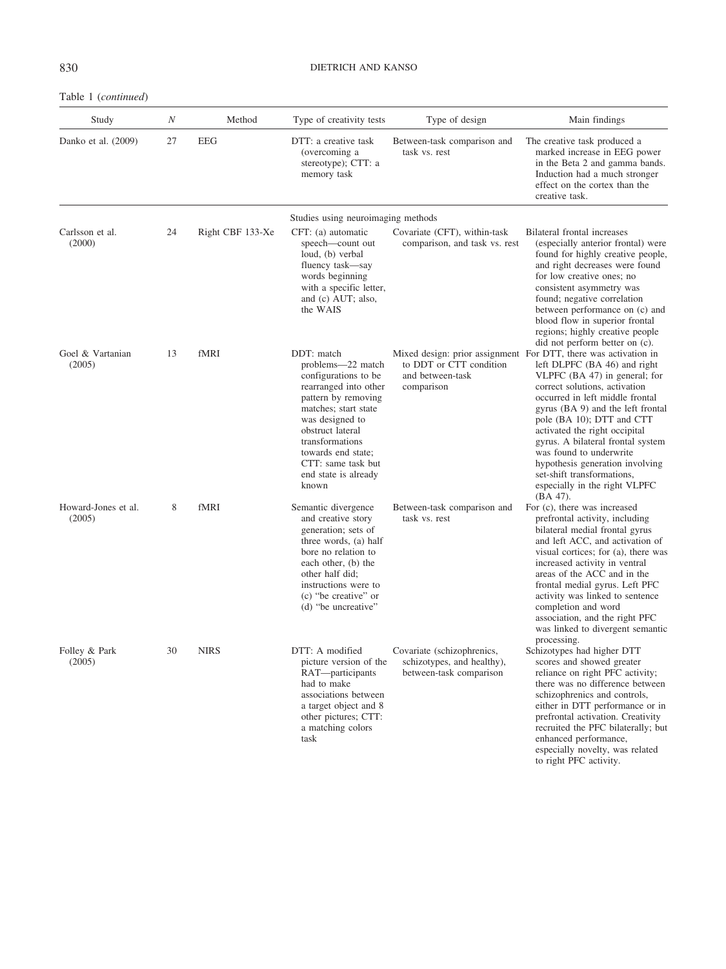Table 1 (*continued*)

| Study                         | N  | Method           | Type of creativity tests                                                                                                                                                                                                                                               | Type of design                                                                      | Main findings                                                                                                                                                                                                                                                                                                                                                                                                                                                                            |
|-------------------------------|----|------------------|------------------------------------------------------------------------------------------------------------------------------------------------------------------------------------------------------------------------------------------------------------------------|-------------------------------------------------------------------------------------|------------------------------------------------------------------------------------------------------------------------------------------------------------------------------------------------------------------------------------------------------------------------------------------------------------------------------------------------------------------------------------------------------------------------------------------------------------------------------------------|
| Danko et al. $(2009)$         | 27 | <b>EEG</b>       | DTT: a creative task<br>(overcoming a<br>stereotype); CTT: a<br>memory task                                                                                                                                                                                            | Between-task comparison and<br>task vs. rest                                        | The creative task produced a<br>marked increase in EEG power<br>in the Beta 2 and gamma bands.<br>Induction had a much stronger<br>effect on the cortex than the<br>creative task.                                                                                                                                                                                                                                                                                                       |
|                               |    |                  | Studies using neuroimaging methods                                                                                                                                                                                                                                     |                                                                                     |                                                                                                                                                                                                                                                                                                                                                                                                                                                                                          |
| Carlsson et al.<br>(2000)     | 24 | Right CBF 133-Xe | CFT: (a) automatic<br>speech-count out<br>loud, (b) verbal<br>fluency task—say<br>words beginning<br>with a specific letter,<br>and (c) AUT; also,<br>the WAIS                                                                                                         | Covariate (CFT), within-task<br>comparison, and task vs. rest                       | Bilateral frontal increases<br>(especially anterior frontal) were<br>found for highly creative people,<br>and right decreases were found<br>for low creative ones; no<br>consistent asymmetry was<br>found; negative correlation<br>between performance on (c) and<br>blood flow in superior frontal<br>regions; highly creative people<br>did not perform better on (c).                                                                                                                |
| Goel & Vartanian<br>(2005)    | 13 | fMRI             | DDT: match<br>problems-22 match<br>configurations to be<br>rearranged into other<br>pattern by removing<br>matches; start state<br>was designed to<br>obstruct lateral<br>transformations<br>towards end state;<br>CTT: same task but<br>end state is already<br>known | to DDT or CTT condition<br>and between-task<br>comparison                           | Mixed design: prior assignment For DTT, there was activation in<br>left DLPFC (BA 46) and right<br>VLPFC (BA 47) in general; for<br>correct solutions, activation<br>occurred in left middle frontal<br>gyrus (BA 9) and the left frontal<br>pole (BA 10); DTT and CTT<br>activated the right occipital<br>gyrus. A bilateral frontal system<br>was found to underwrite<br>hypothesis generation involving<br>set-shift transformations,<br>especially in the right VLPFC<br>$(BA 47)$ . |
| Howard-Jones et al.<br>(2005) | 8  | fMRI             | Semantic divergence<br>and creative story<br>generation; sets of<br>three words, (a) half<br>bore no relation to<br>each other, (b) the<br>other half did;<br>instructions were to<br>(c) "be creative" or<br>(d) "be uncreative"                                      | Between-task comparison and<br>task vs. rest                                        | For (c), there was increased<br>prefrontal activity, including<br>bilateral medial frontal gyrus<br>and left ACC, and activation of<br>visual cortices; for (a), there was<br>increased activity in ventral<br>areas of the ACC and in the<br>frontal medial gyrus. Left PFC<br>activity was linked to sentence<br>completion and word<br>association, and the right PFC<br>was linked to divergent semantic                                                                             |
| Folley & Park<br>(2005)       | 30 | <b>NIRS</b>      | DTT: A modified<br>picture version of the<br>RAT-participants<br>had to make<br>associations between<br>a target object and 8<br>other pictures; CTT:<br>a matching colors<br>task                                                                                     | Covariate (schizophrenics,<br>schizotypes, and healthy),<br>between-task comparison | processing.<br>Schizotypes had higher DTT<br>scores and showed greater<br>reliance on right PFC activity;<br>there was no difference between<br>schizophrenics and controls,<br>either in DTT performance or in<br>prefrontal activation. Creativity<br>recruited the PFC bilaterally; but<br>enhanced performance,<br>especially novelty, was related<br>to right PFC activity.                                                                                                         |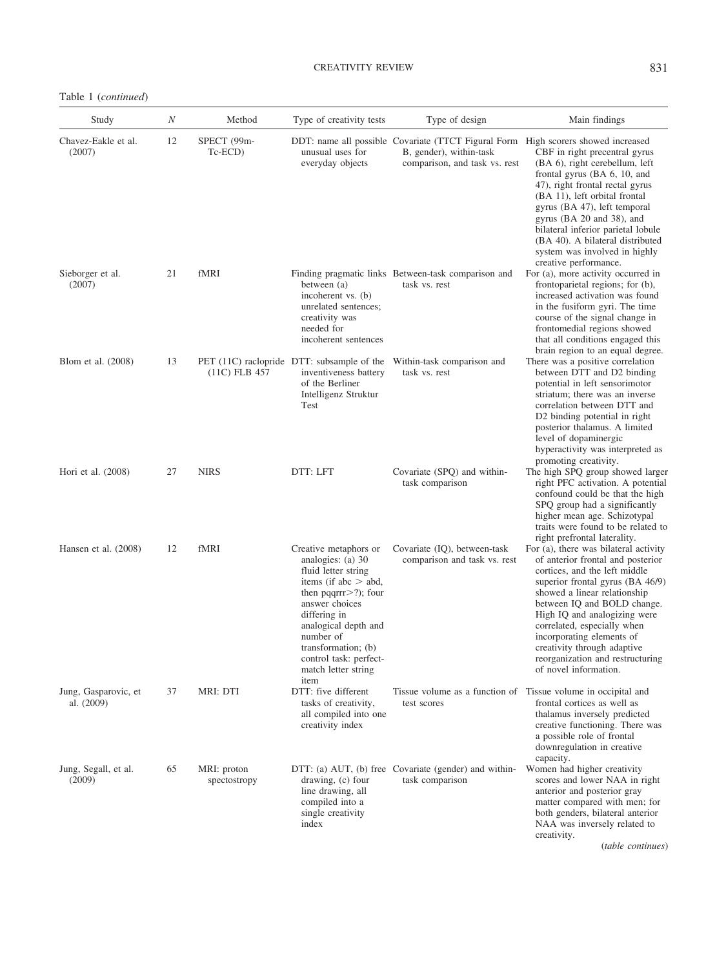Table 1 (*continued*)

| Study                              | N  | Method                      | Type of creativity tests                                                                                                                                                                                                                                                   | Type of design                                                                                                                                | Main findings                                                                                                                                                                                                                                                                                                                                                                                          |
|------------------------------------|----|-----------------------------|----------------------------------------------------------------------------------------------------------------------------------------------------------------------------------------------------------------------------------------------------------------------------|-----------------------------------------------------------------------------------------------------------------------------------------------|--------------------------------------------------------------------------------------------------------------------------------------------------------------------------------------------------------------------------------------------------------------------------------------------------------------------------------------------------------------------------------------------------------|
| Chavez-Eakle et al.<br>(2007)      | 12 | SPECT (99m-<br>Tc-ECD)      | unusual uses for<br>everyday objects                                                                                                                                                                                                                                       | DDT: name all possible Covariate (TTCT Figural Form High scorers showed increased<br>B, gender), within-task<br>comparison, and task vs. rest | CBF in right precentral gyrus<br>(BA 6), right cerebellum, left<br>frontal gyrus (BA 6, 10, and<br>47), right frontal rectal gyrus<br>(BA 11), left orbital frontal<br>gyrus (BA 47), left temporal<br>gyrus (BA 20 and 38), and<br>bilateral inferior parietal lobule<br>(BA 40). A bilateral distributed<br>system was involved in highly<br>creative performance.                                   |
| Sieborger et al.<br>(2007)         | 21 | fMRI                        | between (a)<br>incoherent vs. (b)<br>unrelated sentences;<br>creativity was<br>needed for<br>incoherent sentences                                                                                                                                                          | Finding pragmatic links Between-task comparison and<br>task vs. rest                                                                          | For (a), more activity occurred in<br>frontoparietal regions; for (b),<br>increased activation was found<br>in the fusiform gyri. The time<br>course of the signal change in<br>frontomedial regions showed<br>that all conditions engaged this<br>brain region to an equal degree.                                                                                                                    |
| Blom et al. (2008)                 | 13 | (11C) FLB 457               | PET (11C) raclopride DTT: subsample of the<br>inventiveness battery<br>of the Berliner<br>Intelligenz Struktur<br>Test                                                                                                                                                     | Within-task comparison and<br>task vs. rest                                                                                                   | There was a positive correlation<br>between DTT and D2 binding<br>potential in left sensorimotor<br>striatum; there was an inverse<br>correlation between DTT and<br>D <sub>2</sub> binding potential in right<br>posterior thalamus. A limited<br>level of dopaminergic<br>hyperactivity was interpreted as<br>promoting creativity.                                                                  |
| Hori et al. (2008)                 | 27 | <b>NIRS</b>                 | DTT: LFT                                                                                                                                                                                                                                                                   | Covariate (SPQ) and within-<br>task comparison                                                                                                | The high SPQ group showed larger<br>right PFC activation. A potential<br>confound could be that the high<br>SPQ group had a significantly<br>higher mean age. Schizotypal<br>traits were found to be related to<br>right prefrontal laterality.                                                                                                                                                        |
| Hansen et al. (2008)               | 12 | fMRI                        | Creative metaphors or<br>analogies: (a) 30<br>fluid letter string<br>items (if abc $>$ abd,<br>then pqqrrr>?); four<br>answer choices<br>differing in<br>analogical depth and<br>number of<br>transformation; (b)<br>control task: perfect-<br>match letter string<br>item | Covariate (IQ), between-task<br>comparison and task vs. rest                                                                                  | For (a), there was bilateral activity<br>of anterior frontal and posterior<br>cortices, and the left middle<br>superior frontal gyrus (BA 46/9)<br>showed a linear relationship<br>between IQ and BOLD change.<br>High IQ and analogizing were<br>correlated, especially when<br>incorporating elements of<br>creativity through adaptive<br>reorganization and restructuring<br>of novel information. |
| Jung, Gasparovic, et<br>al. (2009) | 37 | MRI: DTI                    | DTT: five different<br>tasks of creativity,<br>all compiled into one<br>creativity index                                                                                                                                                                                   | test scores                                                                                                                                   | Tissue volume as a function of Tissue volume in occipital and<br>frontal cortices as well as<br>thalamus inversely predicted<br>creative functioning. There was<br>a possible role of frontal<br>downregulation in creative<br>capacity.                                                                                                                                                               |
| Jung, Segall, et al.<br>(2009)     | 65 | MRI: proton<br>spectostropy | drawing, (c) four<br>line drawing, all<br>compiled into a<br>single creativity<br>index                                                                                                                                                                                    | DTT: (a) AUT, (b) free Covariate (gender) and within-<br>task comparison                                                                      | Women had higher creativity<br>scores and lower NAA in right<br>anterior and posterior gray<br>matter compared with men; for<br>both genders, bilateral anterior<br>NAA was inversely related to<br>creativity.<br>(table continues)                                                                                                                                                                   |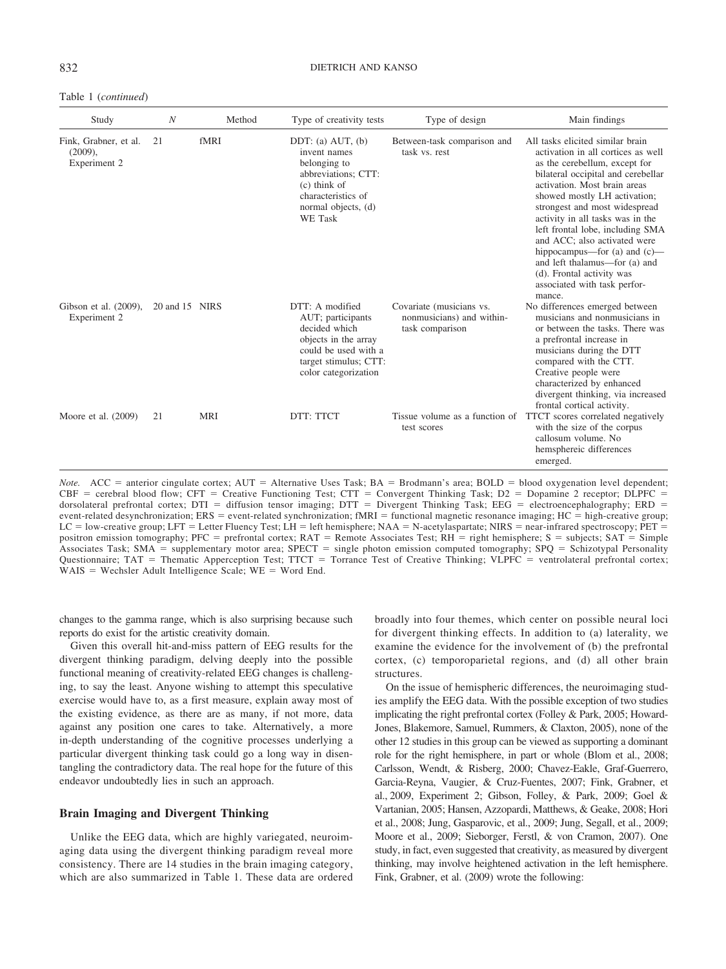Table 1 (*continued*)

| Study                                            | $\boldsymbol{N}$ |            | Method | Type of creativity tests                                                                                                                               | Type of design                                                           | Main findings                                                                                                                                                                                                                                                                                                                                                                                                                                                                                       |
|--------------------------------------------------|------------------|------------|--------|--------------------------------------------------------------------------------------------------------------------------------------------------------|--------------------------------------------------------------------------|-----------------------------------------------------------------------------------------------------------------------------------------------------------------------------------------------------------------------------------------------------------------------------------------------------------------------------------------------------------------------------------------------------------------------------------------------------------------------------------------------------|
| Fink, Grabner, et al.<br>(2009),<br>Experiment 2 | 21               | fMRI       |        | DDT: (a) $AUT$ , (b)<br>invent names<br>belonging to<br>abbreviations; CTT:<br>$(c)$ think of<br>characteristics of<br>normal objects, (d)<br>WE Task  | Between-task comparison and<br>task vs. rest                             | All tasks elicited similar brain<br>activation in all cortices as well<br>as the cerebellum, except for<br>bilateral occipital and cerebellar<br>activation. Most brain areas<br>showed mostly LH activation;<br>strongest and most widespread<br>activity in all tasks was in the<br>left frontal lobe, including SMA<br>and ACC; also activated were<br>hippocampus—for $(a)$ and $(c)$ —<br>and left thalamus-for (a) and<br>(d). Frontal activity was<br>associated with task perfor-<br>mance. |
| Gibson et al. (2009),<br>Experiment 2            | 20 and 15 NIRS   |            |        | DTT: A modified<br>AUT; participants<br>decided which<br>objects in the array<br>could be used with a<br>target stimulus; CTT:<br>color categorization | Covariate (musicians vs.<br>nonmusicians) and within-<br>task comparison | No differences emerged between<br>musicians and nonmusicians in<br>or between the tasks. There was<br>a prefrontal increase in<br>musicians during the DTT<br>compared with the CTT.<br>Creative people were<br>characterized by enhanced<br>divergent thinking, via increased<br>frontal cortical activity.                                                                                                                                                                                        |
| Moore et al. $(2009)$                            | 21               | <b>MRI</b> |        | DTT: TTCT                                                                                                                                              | Tissue volume as a function of<br>test scores                            | TTCT scores correlated negatively<br>with the size of the corpus<br>callosum volume. No<br>hemsphereic differences<br>emerged.                                                                                                                                                                                                                                                                                                                                                                      |

Note. ACC = anterior cingulate cortex; AUT = Alternative Uses Task; BA = Brodmann's area; BOLD = blood oxygenation level dependent; CBF = cerebral blood flow; CFT = Creative Functioning Test; CTT = Convergent Thinking Task; D2 = Dopamine 2 receptor; DLPFC = dorsolateral prefrontal cortex; DTI = diffusion tensor imaging; DTT = Divergent Thinking Task; EEG = electroencephalography; ERD = event-related desynchronization; ERS = event-related synchronization; fMRI = functional magnetic resonance imaging; HC = high-creative group; LC = low-creative group; LFT = Letter Fluency Test; LH = left hemisphere; NAA = N-acetylaspartate; NIRS = near-infrared spectroscopy; PET = positron emission tomography; PFC = prefrontal cortex; RAT = Remote Associates Test; RH = right hemisphere; S = subjects; SAT = Simple Associates Task; SMA = supplementary motor area; SPECT = single photon emission computed tomography; SPQ = Schizotypal Personality Questionnaire; TAT = Thematic Apperception Test; TTCT = Torrance Test of Creative Thinking; VLPFC = ventrolateral prefrontal cortex;  $WAIS = Wechsler Adult Intelligence Scale; WE = Word End.$ 

changes to the gamma range, which is also surprising because such reports do exist for the artistic creativity domain.

Given this overall hit-and-miss pattern of EEG results for the divergent thinking paradigm, delving deeply into the possible functional meaning of creativity-related EEG changes is challenging, to say the least. Anyone wishing to attempt this speculative exercise would have to, as a first measure, explain away most of the existing evidence, as there are as many, if not more, data against any position one cares to take. Alternatively, a more in-depth understanding of the cognitive processes underlying a particular divergent thinking task could go a long way in disentangling the contradictory data. The real hope for the future of this endeavor undoubtedly lies in such an approach.

## **Brain Imaging and Divergent Thinking**

Unlike the EEG data, which are highly variegated, neuroimaging data using the divergent thinking paradigm reveal more consistency. There are 14 studies in the brain imaging category, which are also summarized in Table 1. These data are ordered broadly into four themes, which center on possible neural loci for divergent thinking effects. In addition to (a) laterality, we examine the evidence for the involvement of (b) the prefrontal cortex, (c) temporoparietal regions, and (d) all other brain structures.

On the issue of hemispheric differences, the neuroimaging studies amplify the EEG data. With the possible exception of two studies implicating the right prefrontal cortex (Folley & Park, 2005; Howard-Jones, Blakemore, Samuel, Rummers, & Claxton, 2005), none of the other 12 studies in this group can be viewed as supporting a dominant role for the right hemisphere, in part or whole (Blom et al., 2008; Carlsson, Wendt, & Risberg, 2000; Chavez-Eakle, Graf-Guerrero, Garcia-Reyna, Vaugier, & Cruz-Fuentes, 2007; Fink, Grabner, et al., 2009, Experiment 2; Gibson, Folley, & Park, 2009; Goel & Vartanian, 2005; Hansen, Azzopardi, Matthews, & Geake, 2008; Hori et al., 2008; Jung, Gasparovic, et al., 2009; Jung, Segall, et al., 2009; Moore et al., 2009; Sieborger, Ferstl, & von Cramon, 2007). One study, in fact, even suggested that creativity, as measured by divergent thinking, may involve heightened activation in the left hemisphere. Fink, Grabner, et al. (2009) wrote the following: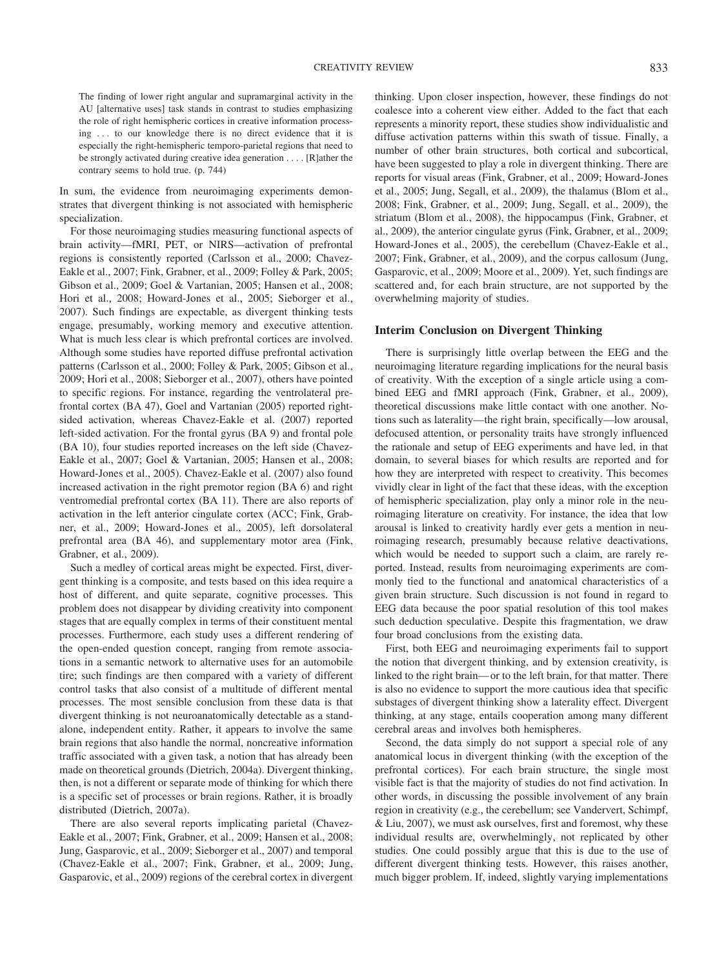The finding of lower right angular and supramarginal activity in the AU [alternative uses] task stands in contrast to studies emphasizing the role of right hemispheric cortices in creative information processing . . . to our knowledge there is no direct evidence that it is especially the right-hemispheric temporo-parietal regions that need to be strongly activated during creative idea generation.... [R]ather the contrary seems to hold true. (p. 744)

In sum, the evidence from neuroimaging experiments demonstrates that divergent thinking is not associated with hemispheric specialization.

For those neuroimaging studies measuring functional aspects of brain activity—fMRI, PET, or NIRS—activation of prefrontal regions is consistently reported (Carlsson et al., 2000; Chavez-Eakle et al., 2007; Fink, Grabner, et al., 2009; Folley & Park, 2005; Gibson et al., 2009; Goel & Vartanian, 2005; Hansen et al., 2008; Hori et al., 2008; Howard-Jones et al., 2005; Sieborger et al., 2007). Such findings are expectable, as divergent thinking tests engage, presumably, working memory and executive attention. What is much less clear is which prefrontal cortices are involved. Although some studies have reported diffuse prefrontal activation patterns (Carlsson et al., 2000; Folley & Park, 2005; Gibson et al., 2009; Hori et al., 2008; Sieborger et al., 2007), others have pointed to specific regions. For instance, regarding the ventrolateral prefrontal cortex (BA 47), Goel and Vartanian (2005) reported rightsided activation, whereas Chavez-Eakle et al. (2007) reported left-sided activation. For the frontal gyrus (BA 9) and frontal pole (BA 10), four studies reported increases on the left side (Chavez-Eakle et al., 2007; Goel & Vartanian, 2005; Hansen et al., 2008; Howard-Jones et al., 2005). Chavez-Eakle et al. (2007) also found increased activation in the right premotor region (BA 6) and right ventromedial prefrontal cortex (BA 11). There are also reports of activation in the left anterior cingulate cortex (ACC; Fink, Grabner, et al., 2009; Howard-Jones et al., 2005), left dorsolateral prefrontal area (BA 46), and supplementary motor area (Fink, Grabner, et al., 2009).

Such a medley of cortical areas might be expected. First, divergent thinking is a composite, and tests based on this idea require a host of different, and quite separate, cognitive processes. This problem does not disappear by dividing creativity into component stages that are equally complex in terms of their constituent mental processes. Furthermore, each study uses a different rendering of the open-ended question concept, ranging from remote associations in a semantic network to alternative uses for an automobile tire; such findings are then compared with a variety of different control tasks that also consist of a multitude of different mental processes. The most sensible conclusion from these data is that divergent thinking is not neuroanatomically detectable as a standalone, independent entity. Rather, it appears to involve the same brain regions that also handle the normal, noncreative information traffic associated with a given task, a notion that has already been made on theoretical grounds (Dietrich, 2004a). Divergent thinking, then, is not a different or separate mode of thinking for which there is a specific set of processes or brain regions. Rather, it is broadly distributed (Dietrich, 2007a).

There are also several reports implicating parietal (Chavez-Eakle et al., 2007; Fink, Grabner, et al., 2009; Hansen et al., 2008; Jung, Gasparovic, et al., 2009; Sieborger et al., 2007) and temporal (Chavez-Eakle et al., 2007; Fink, Grabner, et al., 2009; Jung, Gasparovic, et al., 2009) regions of the cerebral cortex in divergent thinking. Upon closer inspection, however, these findings do not coalesce into a coherent view either. Added to the fact that each represents a minority report, these studies show individualistic and diffuse activation patterns within this swath of tissue. Finally, a number of other brain structures, both cortical and subcortical, have been suggested to play a role in divergent thinking. There are reports for visual areas (Fink, Grabner, et al., 2009; Howard-Jones et al., 2005; Jung, Segall, et al., 2009), the thalamus (Blom et al., 2008; Fink, Grabner, et al., 2009; Jung, Segall, et al., 2009), the striatum (Blom et al., 2008), the hippocampus (Fink, Grabner, et al., 2009), the anterior cingulate gyrus (Fink, Grabner, et al., 2009; Howard-Jones et al., 2005), the cerebellum (Chavez-Eakle et al., 2007; Fink, Grabner, et al., 2009), and the corpus callosum (Jung, Gasparovic, et al., 2009; Moore et al., 2009). Yet, such findings are scattered and, for each brain structure, are not supported by the overwhelming majority of studies.

## **Interim Conclusion on Divergent Thinking**

There is surprisingly little overlap between the EEG and the neuroimaging literature regarding implications for the neural basis of creativity. With the exception of a single article using a combined EEG and fMRI approach (Fink, Grabner, et al., 2009), theoretical discussions make little contact with one another. Notions such as laterality—the right brain, specifically—low arousal, defocused attention, or personality traits have strongly influenced the rationale and setup of EEG experiments and have led, in that domain, to several biases for which results are reported and for how they are interpreted with respect to creativity. This becomes vividly clear in light of the fact that these ideas, with the exception of hemispheric specialization, play only a minor role in the neuroimaging literature on creativity. For instance, the idea that low arousal is linked to creativity hardly ever gets a mention in neuroimaging research, presumably because relative deactivations, which would be needed to support such a claim, are rarely reported. Instead, results from neuroimaging experiments are commonly tied to the functional and anatomical characteristics of a given brain structure. Such discussion is not found in regard to EEG data because the poor spatial resolution of this tool makes such deduction speculative. Despite this fragmentation, we draw four broad conclusions from the existing data.

First, both EEG and neuroimaging experiments fail to support the notion that divergent thinking, and by extension creativity, is linked to the right brain—or to the left brain, for that matter. There is also no evidence to support the more cautious idea that specific substages of divergent thinking show a laterality effect. Divergent thinking, at any stage, entails cooperation among many different cerebral areas and involves both hemispheres.

Second, the data simply do not support a special role of any anatomical locus in divergent thinking (with the exception of the prefrontal cortices). For each brain structure, the single most visible fact is that the majority of studies do not find activation. In other words, in discussing the possible involvement of any brain region in creativity (e.g., the cerebellum; see Vandervert, Schimpf, & Liu, 2007), we must ask ourselves, first and foremost, why these individual results are, overwhelmingly, not replicated by other studies. One could possibly argue that this is due to the use of different divergent thinking tests. However, this raises another, much bigger problem. If, indeed, slightly varying implementations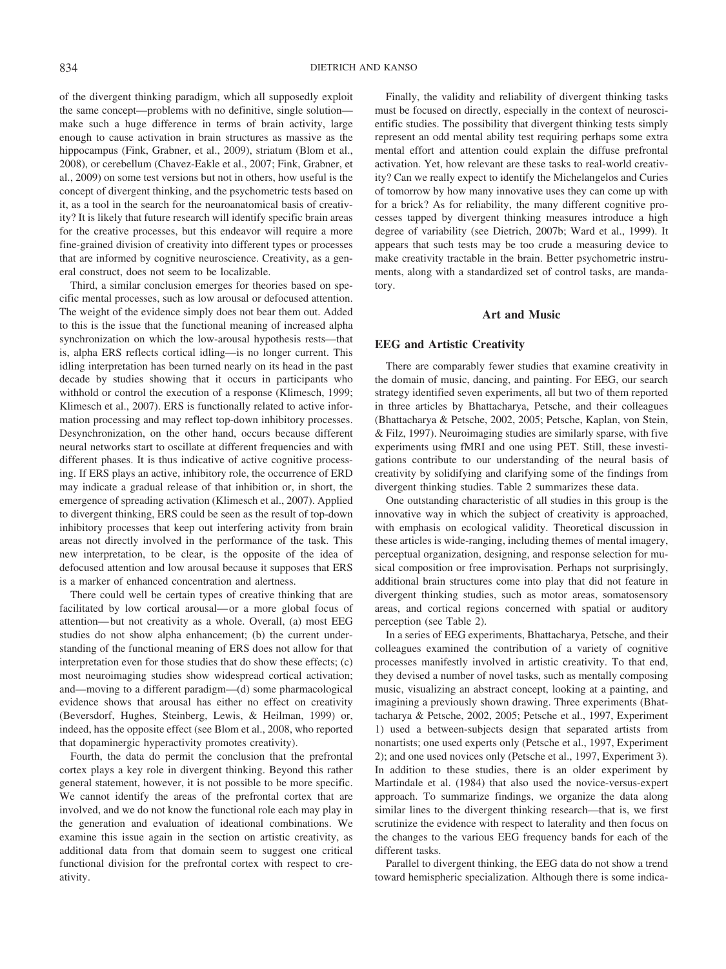of the divergent thinking paradigm, which all supposedly exploit the same concept—problems with no definitive, single solution make such a huge difference in terms of brain activity, large enough to cause activation in brain structures as massive as the hippocampus (Fink, Grabner, et al., 2009), striatum (Blom et al., 2008), or cerebellum (Chavez-Eakle et al., 2007; Fink, Grabner, et al., 2009) on some test versions but not in others, how useful is the concept of divergent thinking, and the psychometric tests based on it, as a tool in the search for the neuroanatomical basis of creativity? It is likely that future research will identify specific brain areas for the creative processes, but this endeavor will require a more fine-grained division of creativity into different types or processes that are informed by cognitive neuroscience. Creativity, as a general construct, does not seem to be localizable.

Third, a similar conclusion emerges for theories based on specific mental processes, such as low arousal or defocused attention. The weight of the evidence simply does not bear them out. Added to this is the issue that the functional meaning of increased alpha synchronization on which the low-arousal hypothesis rests—that is, alpha ERS reflects cortical idling—is no longer current. This idling interpretation has been turned nearly on its head in the past decade by studies showing that it occurs in participants who withhold or control the execution of a response (Klimesch, 1999; Klimesch et al., 2007). ERS is functionally related to active information processing and may reflect top-down inhibitory processes. Desynchronization, on the other hand, occurs because different neural networks start to oscillate at different frequencies and with different phases. It is thus indicative of active cognitive processing. If ERS plays an active, inhibitory role, the occurrence of ERD may indicate a gradual release of that inhibition or, in short, the emergence of spreading activation (Klimesch et al., 2007). Applied to divergent thinking, ERS could be seen as the result of top-down inhibitory processes that keep out interfering activity from brain areas not directly involved in the performance of the task. This new interpretation, to be clear, is the opposite of the idea of defocused attention and low arousal because it supposes that ERS is a marker of enhanced concentration and alertness.

There could well be certain types of creative thinking that are facilitated by low cortical arousal—or a more global focus of attention—but not creativity as a whole. Overall, (a) most EEG studies do not show alpha enhancement; (b) the current understanding of the functional meaning of ERS does not allow for that interpretation even for those studies that do show these effects; (c) most neuroimaging studies show widespread cortical activation; and—moving to a different paradigm—(d) some pharmacological evidence shows that arousal has either no effect on creativity (Beversdorf, Hughes, Steinberg, Lewis, & Heilman, 1999) or, indeed, has the opposite effect (see Blom et al., 2008, who reported that dopaminergic hyperactivity promotes creativity).

Fourth, the data do permit the conclusion that the prefrontal cortex plays a key role in divergent thinking. Beyond this rather general statement, however, it is not possible to be more specific. We cannot identify the areas of the prefrontal cortex that are involved, and we do not know the functional role each may play in the generation and evaluation of ideational combinations. We examine this issue again in the section on artistic creativity, as additional data from that domain seem to suggest one critical functional division for the prefrontal cortex with respect to creativity.

Finally, the validity and reliability of divergent thinking tasks must be focused on directly, especially in the context of neuroscientific studies. The possibility that divergent thinking tests simply represent an odd mental ability test requiring perhaps some extra mental effort and attention could explain the diffuse prefrontal activation. Yet, how relevant are these tasks to real-world creativity? Can we really expect to identify the Michelangelos and Curies of tomorrow by how many innovative uses they can come up with for a brick? As for reliability, the many different cognitive processes tapped by divergent thinking measures introduce a high degree of variability (see Dietrich, 2007b; Ward et al., 1999). It appears that such tests may be too crude a measuring device to make creativity tractable in the brain. Better psychometric instruments, along with a standardized set of control tasks, are mandatory.

#### **Art and Music**

### **EEG and Artistic Creativity**

There are comparably fewer studies that examine creativity in the domain of music, dancing, and painting. For EEG, our search strategy identified seven experiments, all but two of them reported in three articles by Bhattacharya, Petsche, and their colleagues (Bhattacharya & Petsche, 2002, 2005; Petsche, Kaplan, von Stein, & Filz, 1997). Neuroimaging studies are similarly sparse, with five experiments using fMRI and one using PET. Still, these investigations contribute to our understanding of the neural basis of creativity by solidifying and clarifying some of the findings from divergent thinking studies. Table 2 summarizes these data.

One outstanding characteristic of all studies in this group is the innovative way in which the subject of creativity is approached, with emphasis on ecological validity. Theoretical discussion in these articles is wide-ranging, including themes of mental imagery, perceptual organization, designing, and response selection for musical composition or free improvisation. Perhaps not surprisingly, additional brain structures come into play that did not feature in divergent thinking studies, such as motor areas, somatosensory areas, and cortical regions concerned with spatial or auditory perception (see Table 2).

In a series of EEG experiments, Bhattacharya, Petsche, and their colleagues examined the contribution of a variety of cognitive processes manifestly involved in artistic creativity. To that end, they devised a number of novel tasks, such as mentally composing music, visualizing an abstract concept, looking at a painting, and imagining a previously shown drawing. Three experiments (Bhattacharya & Petsche, 2002, 2005; Petsche et al., 1997, Experiment 1) used a between-subjects design that separated artists from nonartists; one used experts only (Petsche et al., 1997, Experiment 2); and one used novices only (Petsche et al., 1997, Experiment 3). In addition to these studies, there is an older experiment by Martindale et al. (1984) that also used the novice-versus-expert approach. To summarize findings, we organize the data along similar lines to the divergent thinking research—that is, we first scrutinize the evidence with respect to laterality and then focus on the changes to the various EEG frequency bands for each of the different tasks.

Parallel to divergent thinking, the EEG data do not show a trend toward hemispheric specialization. Although there is some indica-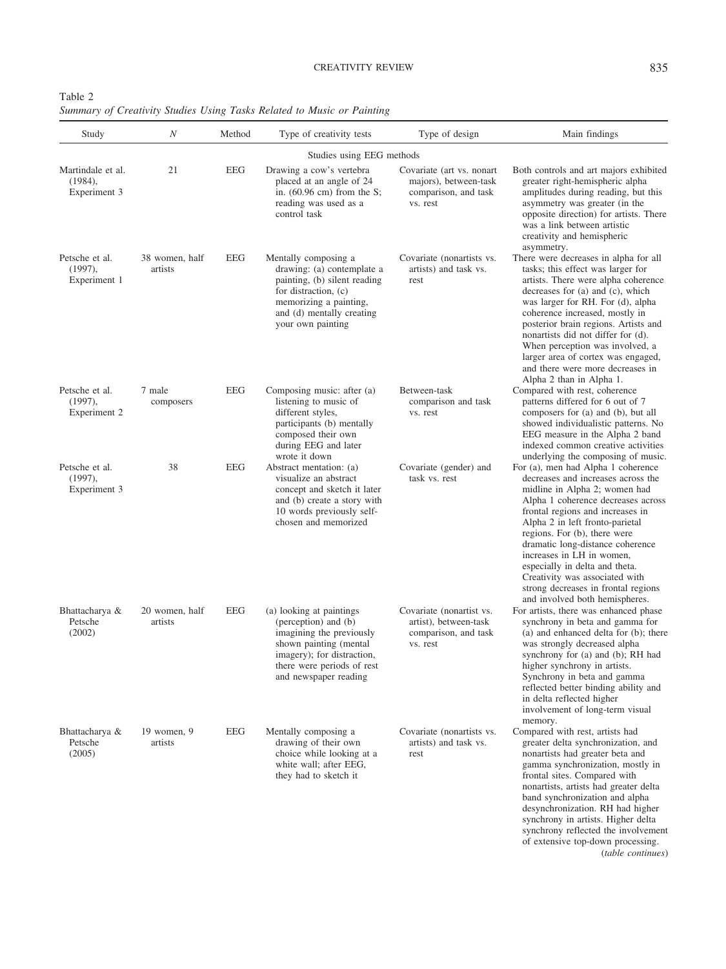| Table 2 |                                                                        |
|---------|------------------------------------------------------------------------|
|         | Summary of Creativity Studies Using Tasks Related to Music or Painting |

| Study                                        | N                         | Method     | Type of creativity tests                                                                                                                                                                    | Type of design                                                                          | Main findings                                                                                                                                                                                                                                                                                                                                                                                                                                                        |
|----------------------------------------------|---------------------------|------------|---------------------------------------------------------------------------------------------------------------------------------------------------------------------------------------------|-----------------------------------------------------------------------------------------|----------------------------------------------------------------------------------------------------------------------------------------------------------------------------------------------------------------------------------------------------------------------------------------------------------------------------------------------------------------------------------------------------------------------------------------------------------------------|
|                                              |                           |            | Studies using EEG methods                                                                                                                                                                   |                                                                                         |                                                                                                                                                                                                                                                                                                                                                                                                                                                                      |
| Martindale et al.<br>(1984),<br>Experiment 3 | 21                        | <b>EEG</b> | Drawing a cow's vertebra<br>placed at an angle of 24<br>in. $(60.96 \text{ cm})$ from the S;<br>reading was used as a<br>control task                                                       | Covariate (art vs. nonart)<br>majors), between-task<br>comparison, and task<br>vs. rest | Both controls and art majors exhibited<br>greater right-hemispheric alpha<br>amplitudes during reading, but this<br>asymmetry was greater (in the<br>opposite direction) for artists. There<br>was a link between artistic<br>creativity and hemispheric<br>asymmetry.                                                                                                                                                                                               |
| Petsche et al.<br>(1997),<br>Experiment 1    | 38 women, half<br>artists | <b>EEG</b> | Mentally composing a<br>drawing: (a) contemplate a<br>painting, (b) silent reading<br>for distraction, (c)<br>memorizing a painting,<br>and (d) mentally creating<br>your own painting      | Covariate (nonartists vs.<br>artists) and task vs.<br>rest                              | There were decreases in alpha for all<br>tasks; this effect was larger for<br>artists. There were alpha coherence<br>decreases for (a) and (c), which<br>was larger for RH. For (d), alpha<br>coherence increased, mostly in<br>posterior brain regions. Artists and<br>nonartists did not differ for (d).<br>When perception was involved, a<br>larger area of cortex was engaged,<br>and there were more decreases in<br>Alpha 2 than in Alpha 1.                  |
| Petsche et al.<br>(1997).<br>Experiment 2    | 7 male<br>composers       | <b>EEG</b> | Composing music: after (a)<br>listening to music of<br>different styles,<br>participants (b) mentally<br>composed their own<br>during EEG and later<br>wrote it down                        | Between-task<br>comparison and task<br>vs. rest                                         | Compared with rest, coherence<br>patterns differed for 6 out of 7<br>composers for (a) and (b), but all<br>showed individualistic patterns. No<br>EEG measure in the Alpha 2 band<br>indexed common creative activities<br>underlying the composing of music.                                                                                                                                                                                                        |
| Petsche et al.<br>(1997),<br>Experiment 3    | 38                        | <b>EEG</b> | Abstract mentation: (a)<br>visualize an abstract<br>concept and sketch it later<br>and (b) create a story with<br>10 words previously self-<br>chosen and memorized                         | Covariate (gender) and<br>task vs. rest                                                 | For (a), men had Alpha 1 coherence<br>decreases and increases across the<br>midline in Alpha 2; women had<br>Alpha 1 coherence decreases across<br>frontal regions and increases in<br>Alpha 2 in left fronto-parietal<br>regions. For (b), there were<br>dramatic long-distance coherence<br>increases in LH in women,<br>especially in delta and theta.<br>Creativity was associated with<br>strong decreases in frontal regions<br>and involved both hemispheres. |
| Bhattacharya &<br>Petsche<br>(2002)          | 20 women, half<br>artists | <b>EEG</b> | (a) looking at paintings<br>(perception) and (b)<br>imagining the previously<br>shown painting (mental<br>imagery); for distraction,<br>there were periods of rest<br>and newspaper reading | Covariate (nonartist vs.<br>artist), between-task<br>comparison, and task<br>vs. rest   | For artists, there was enhanced phase<br>synchrony in beta and gamma for<br>(a) and enhanced delta for (b); there<br>was strongly decreased alpha<br>synchrony for (a) and (b); RH had<br>higher synchrony in artists.<br>Synchrony in beta and gamma<br>reflected better binding ability and<br>in delta reflected higher<br>involvement of long-term visual<br>memory.                                                                                             |
| Bhattacharya &<br>Petsche<br>(2005)          | 19 women, 9<br>artists    | <b>EEG</b> | Mentally composing a<br>drawing of their own<br>choice while looking at a<br>white wall; after EEG,<br>they had to sketch it                                                                | Covariate (nonartists vs.<br>artists) and task vs.<br>rest                              | Compared with rest, artists had<br>greater delta synchronization, and<br>nonartists had greater beta and<br>gamma synchronization, mostly in<br>frontal sites. Compared with<br>nonartists, artists had greater delta<br>band synchronization and alpha<br>desynchronization. RH had higher<br>synchrony in artists. Higher delta<br>synchrony reflected the involvement<br>of extensive top-down processing.<br>( <i>table continues</i> )                          |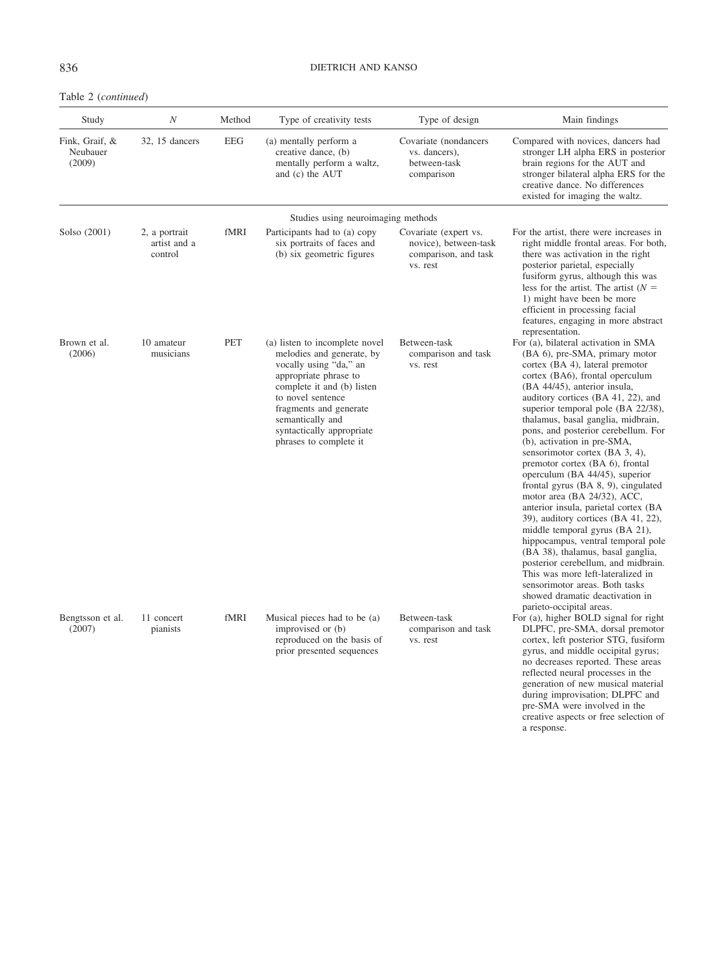Table 2 (*continued*)

| Study                                | N                                        | Method     | Type of creativity tests                                                                                                                                                                                                                                               | Type of design                                                                     | Main findings                                                                                                                                                                                                                                                                                                                                                                                                                                                                                                                                                                                                                                                                                                                                                                                                                                                                                  |
|--------------------------------------|------------------------------------------|------------|------------------------------------------------------------------------------------------------------------------------------------------------------------------------------------------------------------------------------------------------------------------------|------------------------------------------------------------------------------------|------------------------------------------------------------------------------------------------------------------------------------------------------------------------------------------------------------------------------------------------------------------------------------------------------------------------------------------------------------------------------------------------------------------------------------------------------------------------------------------------------------------------------------------------------------------------------------------------------------------------------------------------------------------------------------------------------------------------------------------------------------------------------------------------------------------------------------------------------------------------------------------------|
| Fink, Graif, &<br>Neubauer<br>(2009) | 32, 15 dancers                           | <b>EEG</b> | (a) mentally perform a<br>creative dance, (b)<br>mentally perform a waltz,<br>and (c) the AUT                                                                                                                                                                          | Covariate (nondancers<br>vs. dancers),<br>between-task<br>comparison               | Compared with novices, dancers had<br>stronger LH alpha ERS in posterior<br>brain regions for the AUT and<br>stronger bilateral alpha ERS for the<br>creative dance. No differences<br>existed for imaging the waltz.                                                                                                                                                                                                                                                                                                                                                                                                                                                                                                                                                                                                                                                                          |
|                                      |                                          |            | Studies using neuroimaging methods                                                                                                                                                                                                                                     |                                                                                    |                                                                                                                                                                                                                                                                                                                                                                                                                                                                                                                                                                                                                                                                                                                                                                                                                                                                                                |
| Solso (2001)                         | 2, a portrait<br>artist and a<br>control | fMRI       | Participants had to (a) copy<br>six portraits of faces and<br>(b) six geometric figures                                                                                                                                                                                | Covariate (expert vs.<br>novice), between-task<br>comparison, and task<br>vs. rest | For the artist, there were increases in<br>right middle frontal areas. For both,<br>there was activation in the right<br>posterior parietal, especially<br>fusiform gyrus, although this was<br>less for the artist. The artist $(N =$<br>1) might have been be more<br>efficient in processing facial<br>features, engaging in more abstract<br>representation.                                                                                                                                                                                                                                                                                                                                                                                                                                                                                                                               |
| Brown et al.<br>(2006)               | 10 amateur<br>musicians                  | <b>PET</b> | (a) listen to incomplete novel<br>melodies and generate, by<br>vocally using "da," an<br>appropriate phrase to<br>complete it and (b) listen<br>to novel sentence<br>fragments and generate<br>semantically and<br>syntactically appropriate<br>phrases to complete it | Between-task<br>comparison and task<br>vs. rest                                    | For (a), bilateral activation in SMA<br>(BA 6), pre-SMA, primary motor<br>cortex (BA 4), lateral premotor<br>cortex (BA6), frontal operculum<br>(BA 44/45), anterior insula,<br>auditory cortices (BA 41, 22), and<br>superior temporal pole (BA 22/38),<br>thalamus, basal ganglia, midbrain,<br>pons, and posterior cerebellum. For<br>(b), activation in pre-SMA,<br>sensorimotor cortex (BA 3, 4),<br>premotor cortex (BA 6), frontal<br>operculum (BA 44/45), superior<br>frontal gyrus (BA 8, 9), cingulated<br>motor area (BA 24/32), ACC,<br>anterior insula, parietal cortex (BA<br>39), auditory cortices (BA 41, 22),<br>middle temporal gyrus (BA 21),<br>hippocampus, ventral temporal pole<br>(BA 38), thalamus, basal ganglia,<br>posterior cerebellum, and midbrain.<br>This was more left-lateralized in<br>sensorimotor areas. Both tasks<br>showed dramatic deactivation in |
| Bengtsson et al.<br>(2007)           | 11 concert<br>pianists                   | fMRI       | Musical pieces had to be (a)<br>improvised or (b)<br>reproduced on the basis of<br>prior presented sequences                                                                                                                                                           | Between-task<br>comparison and task<br>vs. rest                                    | parieto-occipital areas.<br>For (a), higher BOLD signal for right<br>DLPFC, pre-SMA, dorsal premotor<br>cortex, left posterior STG, fusiform<br>gyrus, and middle occipital gyrus;<br>no decreases reported. These areas<br>reflected neural processes in the<br>generation of new musical material<br>during improvisation; DLPFC and<br>pre-SMA were involved in the<br>creative aspects or free selection of<br>a response.                                                                                                                                                                                                                                                                                                                                                                                                                                                                 |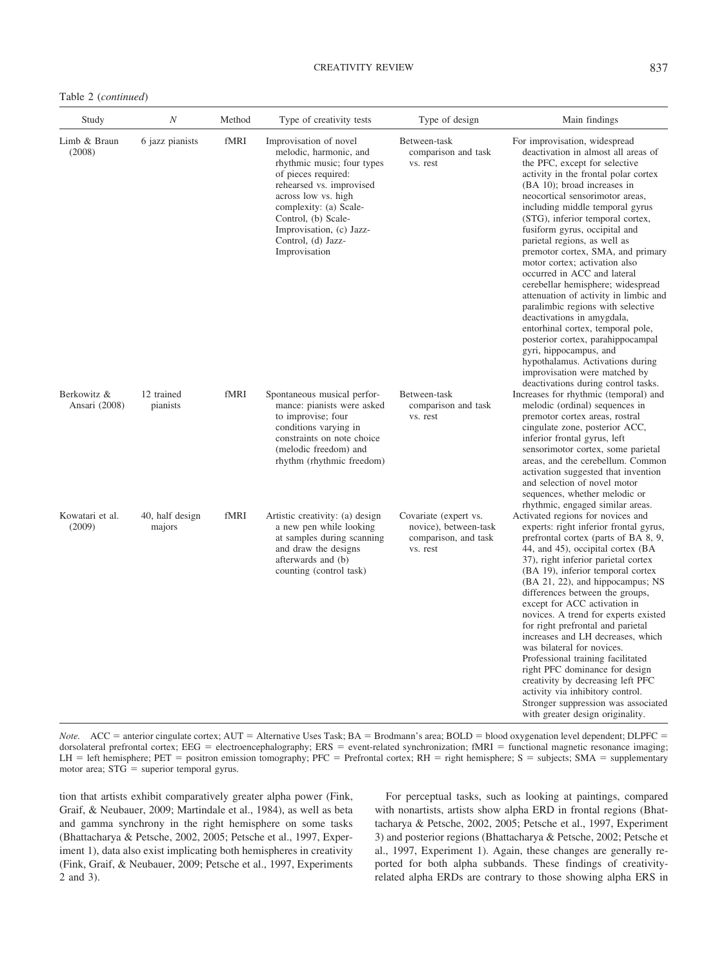Table 2 (*continued*)

| Study                        | N                         | Method | Type of creativity tests                                                                                                                                                                                                                                                     | Type of design                                                                     | Main findings                                                                                                                                                                                                                                                                                                                                                                                                                                                                                                                                                                                                                                                                                                                                                                                                                 |
|------------------------------|---------------------------|--------|------------------------------------------------------------------------------------------------------------------------------------------------------------------------------------------------------------------------------------------------------------------------------|------------------------------------------------------------------------------------|-------------------------------------------------------------------------------------------------------------------------------------------------------------------------------------------------------------------------------------------------------------------------------------------------------------------------------------------------------------------------------------------------------------------------------------------------------------------------------------------------------------------------------------------------------------------------------------------------------------------------------------------------------------------------------------------------------------------------------------------------------------------------------------------------------------------------------|
| Limb & Braun<br>(2008)       | 6 jazz pianists           | fMRI   | Improvisation of novel<br>melodic, harmonic, and<br>rhythmic music; four types<br>of pieces required:<br>rehearsed vs. improvised<br>across low vs. high<br>complexity: (a) Scale-<br>Control, (b) Scale-<br>Improvisation, (c) Jazz-<br>Control, (d) Jazz-<br>Improvisation | Between-task<br>comparison and task<br>vs. rest                                    | For improvisation, widespread<br>deactivation in almost all areas of<br>the PFC, except for selective<br>activity in the frontal polar cortex<br>(BA 10); broad increases in<br>neocortical sensorimotor areas,<br>including middle temporal gyrus<br>(STG), inferior temporal cortex,<br>fusiform gyrus, occipital and<br>parietal regions, as well as<br>premotor cortex, SMA, and primary<br>motor cortex; activation also<br>occurred in ACC and lateral<br>cerebellar hemisphere; widespread<br>attenuation of activity in limbic and<br>paralimbic regions with selective<br>deactivations in amygdala,<br>entorhinal cortex, temporal pole,<br>posterior cortex, parahippocampal<br>gyri, hippocampus, and<br>hypothalamus. Activations during<br>improvisation were matched by<br>deactivations during control tasks. |
| Berkowitz &<br>Ansari (2008) | 12 trained<br>pianists    | fMRI   | Spontaneous musical perfor-<br>mance: pianists were asked<br>to improvise; four<br>conditions varying in<br>constraints on note choice<br>(melodic freedom) and<br>rhythm (rhythmic freedom)                                                                                 | Between-task<br>comparison and task<br>vs. rest                                    | Increases for rhythmic (temporal) and<br>melodic (ordinal) sequences in<br>premotor cortex areas, rostral<br>cingulate zone, posterior ACC,<br>inferior frontal gyrus, left<br>sensorimotor cortex, some parietal<br>areas, and the cerebellum. Common<br>activation suggested that invention<br>and selection of novel motor<br>sequences, whether melodic or                                                                                                                                                                                                                                                                                                                                                                                                                                                                |
| Kowatari et al.<br>(2009)    | 40, half design<br>majors | fMRI   | Artistic creativity: (a) design<br>a new pen while looking<br>at samples during scanning<br>and draw the designs<br>afterwards and (b)<br>counting (control task)                                                                                                            | Covariate (expert vs.<br>novice), between-task<br>comparison, and task<br>vs. rest | rhythmic, engaged similar areas.<br>Activated regions for novices and<br>experts: right inferior frontal gyrus,<br>prefrontal cortex (parts of BA 8, 9,<br>44, and 45), occipital cortex (BA<br>37), right inferior parietal cortex<br>(BA 19), inferior temporal cortex<br>(BA 21, 22), and hippocampus; NS<br>differences between the groups,<br>except for ACC activation in<br>novices. A trend for experts existed<br>for right prefrontal and parietal<br>increases and LH decreases, which<br>was bilateral for novices.<br>Professional training facilitated<br>right PFC dominance for design<br>creativity by decreasing left PFC<br>activity via inhibitory control.<br>Stronger suppression was associated<br>with greater design originality.                                                                    |

*Note.* ACC = anterior cingulate cortex; AUT = Alternative Uses Task; BA = Brodmann's area; BOLD = blood oxygenation level dependent; DLPFC = dorsolateral prefrontal cortex; EEG = electroencephalography; ERS = event-related synchronization; fMRI = functional magnetic resonance imaging; LH = left hemisphere; PET = positron emission tomography; PFC = Prefrontal cortex; RH = right hemisphere; S = subjects; SMA = supplementary  $motor area$ ;  $STG = superior temporal gyrus$ .

tion that artists exhibit comparatively greater alpha power (Fink, Graif, & Neubauer, 2009; Martindale et al., 1984), as well as beta and gamma synchrony in the right hemisphere on some tasks (Bhattacharya & Petsche, 2002, 2005; Petsche et al., 1997, Experiment 1), data also exist implicating both hemispheres in creativity (Fink, Graif, & Neubauer, 2009; Petsche et al., 1997, Experiments 2 and 3).

For perceptual tasks, such as looking at paintings, compared with nonartists, artists show alpha ERD in frontal regions (Bhattacharya & Petsche, 2002, 2005; Petsche et al., 1997, Experiment 3) and posterior regions (Bhattacharya & Petsche, 2002; Petsche et al., 1997, Experiment 1). Again, these changes are generally reported for both alpha subbands. These findings of creativityrelated alpha ERDs are contrary to those showing alpha ERS in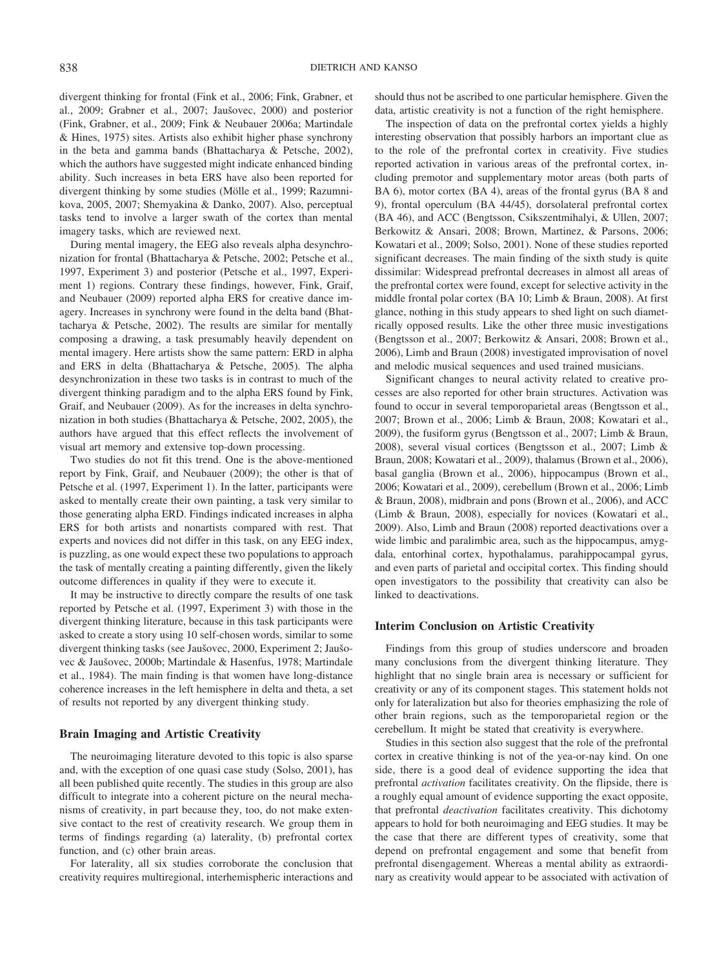divergent thinking for frontal (Fink et al., 2006; Fink, Grabner, et al., 2009; Grabner et al., 2007; Jaušovec, 2000) and posterior (Fink, Grabner, et al., 2009; Fink & Neubauer 2006a; Martindale & Hines, 1975) sites. Artists also exhibit higher phase synchrony in the beta and gamma bands (Bhattacharya & Petsche, 2002), which the authors have suggested might indicate enhanced binding ability. Such increases in beta ERS have also been reported for divergent thinking by some studies (Mölle et al., 1999; Razumnikova, 2005, 2007; Shemyakina & Danko, 2007). Also, perceptual tasks tend to involve a larger swath of the cortex than mental imagery tasks, which are reviewed next.

During mental imagery, the EEG also reveals alpha desynchronization for frontal (Bhattacharya & Petsche, 2002; Petsche et al., 1997, Experiment 3) and posterior (Petsche et al., 1997, Experiment 1) regions. Contrary these findings, however, Fink, Graif, and Neubauer (2009) reported alpha ERS for creative dance imagery. Increases in synchrony were found in the delta band (Bhattacharya & Petsche, 2002). The results are similar for mentally composing a drawing, a task presumably heavily dependent on mental imagery. Here artists show the same pattern: ERD in alpha and ERS in delta (Bhattacharya & Petsche, 2005). The alpha desynchronization in these two tasks is in contrast to much of the divergent thinking paradigm and to the alpha ERS found by Fink, Graif, and Neubauer (2009). As for the increases in delta synchronization in both studies (Bhattacharya & Petsche, 2002, 2005), the authors have argued that this effect reflects the involvement of visual art memory and extensive top-down processing.

Two studies do not fit this trend. One is the above-mentioned report by Fink, Graif, and Neubauer (2009); the other is that of Petsche et al. (1997, Experiment 1). In the latter, participants were asked to mentally create their own painting, a task very similar to those generating alpha ERD. Findings indicated increases in alpha ERS for both artists and nonartists compared with rest. That experts and novices did not differ in this task, on any EEG index, is puzzling, as one would expect these two populations to approach the task of mentally creating a painting differently, given the likely outcome differences in quality if they were to execute it.

It may be instructive to directly compare the results of one task reported by Petsche et al. (1997, Experiment 3) with those in the divergent thinking literature, because in this task participants were asked to create a story using 10 self-chosen words, similar to some divergent thinking tasks (see Jaušovec, 2000, Experiment 2; Jaušovec & Jaušovec, 2000b; Martindale & Hasenfus, 1978; Martindale et al., 1984). The main finding is that women have long-distance coherence increases in the left hemisphere in delta and theta, a set of results not reported by any divergent thinking study.

## **Brain Imaging and Artistic Creativity**

The neuroimaging literature devoted to this topic is also sparse and, with the exception of one quasi case study (Solso, 2001), has all been published quite recently. The studies in this group are also difficult to integrate into a coherent picture on the neural mechanisms of creativity, in part because they, too, do not make extensive contact to the rest of creativity research. We group them in terms of findings regarding (a) laterality, (b) prefrontal cortex function, and (c) other brain areas.

For laterality, all six studies corroborate the conclusion that creativity requires multiregional, interhemispheric interactions and should thus not be ascribed to one particular hemisphere. Given the data, artistic creativity is not a function of the right hemisphere.

The inspection of data on the prefrontal cortex yields a highly interesting observation that possibly harbors an important clue as to the role of the prefrontal cortex in creativity. Five studies reported activation in various areas of the prefrontal cortex, including premotor and supplementary motor areas (both parts of BA 6), motor cortex (BA 4), areas of the frontal gyrus (BA 8 and 9), frontal operculum (BA 44/45), dorsolateral prefrontal cortex (BA 46), and ACC (Bengtsson, Csikszentmihalyi, & Ullen, 2007; Berkowitz & Ansari, 2008; Brown, Martinez, & Parsons, 2006; Kowatari et al., 2009; Solso, 2001). None of these studies reported significant decreases. The main finding of the sixth study is quite dissimilar: Widespread prefrontal decreases in almost all areas of the prefrontal cortex were found, except for selective activity in the middle frontal polar cortex (BA 10; Limb & Braun, 2008). At first glance, nothing in this study appears to shed light on such diametrically opposed results. Like the other three music investigations (Bengtsson et al., 2007; Berkowitz & Ansari, 2008; Brown et al., 2006), Limb and Braun (2008) investigated improvisation of novel and melodic musical sequences and used trained musicians.

Significant changes to neural activity related to creative processes are also reported for other brain structures. Activation was found to occur in several temporoparietal areas (Bengtsson et al., 2007; Brown et al., 2006; Limb & Braun, 2008; Kowatari et al., 2009), the fusiform gyrus (Bengtsson et al., 2007; Limb & Braun, 2008), several visual cortices (Bengtsson et al., 2007; Limb & Braun, 2008; Kowatari et al., 2009), thalamus (Brown et al., 2006), basal ganglia (Brown et al., 2006), hippocampus (Brown et al., 2006; Kowatari et al., 2009), cerebellum (Brown et al., 2006; Limb & Braun, 2008), midbrain and pons (Brown et al., 2006), and ACC (Limb & Braun, 2008), especially for novices (Kowatari et al., 2009). Also, Limb and Braun (2008) reported deactivations over a wide limbic and paralimbic area, such as the hippocampus, amygdala, entorhinal cortex, hypothalamus, parahippocampal gyrus, and even parts of parietal and occipital cortex. This finding should open investigators to the possibility that creativity can also be linked to deactivations.

#### **Interim Conclusion on Artistic Creativity**

Findings from this group of studies underscore and broaden many conclusions from the divergent thinking literature. They highlight that no single brain area is necessary or sufficient for creativity or any of its component stages. This statement holds not only for lateralization but also for theories emphasizing the role of other brain regions, such as the temporoparietal region or the cerebellum. It might be stated that creativity is everywhere.

Studies in this section also suggest that the role of the prefrontal cortex in creative thinking is not of the yea-or-nay kind. On one side, there is a good deal of evidence supporting the idea that prefrontal *activation* facilitates creativity. On the flipside, there is a roughly equal amount of evidence supporting the exact opposite, that prefrontal *deactivation* facilitates creativity. This dichotomy appears to hold for both neuroimaging and EEG studies. It may be the case that there are different types of creativity, some that depend on prefrontal engagement and some that benefit from prefrontal disengagement. Whereas a mental ability as extraordinary as creativity would appear to be associated with activation of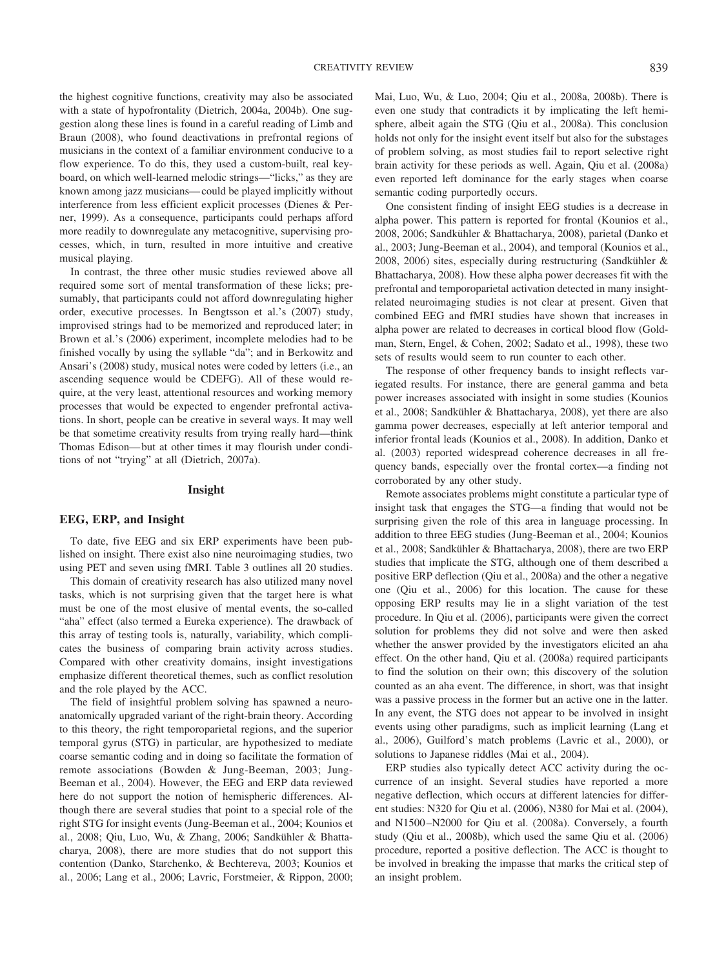the highest cognitive functions, creativity may also be associated with a state of hypofrontality (Dietrich, 2004a, 2004b). One suggestion along these lines is found in a careful reading of Limb and Braun (2008), who found deactivations in prefrontal regions of musicians in the context of a familiar environment conducive to a flow experience. To do this, they used a custom-built, real keyboard, on which well-learned melodic strings—"licks," as they are known among jazz musicians—could be played implicitly without interference from less efficient explicit processes (Dienes & Perner, 1999). As a consequence, participants could perhaps afford more readily to downregulate any metacognitive, supervising processes, which, in turn, resulted in more intuitive and creative musical playing.

In contrast, the three other music studies reviewed above all required some sort of mental transformation of these licks; presumably, that participants could not afford downregulating higher order, executive processes. In Bengtsson et al.'s (2007) study, improvised strings had to be memorized and reproduced later; in Brown et al.'s (2006) experiment, incomplete melodies had to be finished vocally by using the syllable "da"; and in Berkowitz and Ansari's (2008) study, musical notes were coded by letters (i.e., an ascending sequence would be CDEFG). All of these would require, at the very least, attentional resources and working memory processes that would be expected to engender prefrontal activations. In short, people can be creative in several ways. It may well be that sometime creativity results from trying really hard—think Thomas Edison—but at other times it may flourish under conditions of not "trying" at all (Dietrich, 2007a).

#### **Insight**

#### **EEG, ERP, and Insight**

To date, five EEG and six ERP experiments have been published on insight. There exist also nine neuroimaging studies, two using PET and seven using fMRI. Table 3 outlines all 20 studies.

This domain of creativity research has also utilized many novel tasks, which is not surprising given that the target here is what must be one of the most elusive of mental events, the so-called "aha" effect (also termed a Eureka experience). The drawback of this array of testing tools is, naturally, variability, which complicates the business of comparing brain activity across studies. Compared with other creativity domains, insight investigations emphasize different theoretical themes, such as conflict resolution and the role played by the ACC.

The field of insightful problem solving has spawned a neuroanatomically upgraded variant of the right-brain theory. According to this theory, the right temporoparietal regions, and the superior temporal gyrus (STG) in particular, are hypothesized to mediate coarse semantic coding and in doing so facilitate the formation of remote associations (Bowden & Jung-Beeman, 2003; Jung-Beeman et al., 2004). However, the EEG and ERP data reviewed here do not support the notion of hemispheric differences. Although there are several studies that point to a special role of the right STG for insight events (Jung-Beeman et al., 2004; Kounios et al., 2008; Qiu, Luo, Wu, & Zhang, 2006; Sandkühler & Bhattacharya, 2008), there are more studies that do not support this contention (Danko, Starchenko, & Bechtereva, 2003; Kounios et al., 2006; Lang et al., 2006; Lavric, Forstmeier, & Rippon, 2000; Mai, Luo, Wu, & Luo, 2004; Qiu et al., 2008a, 2008b). There is even one study that contradicts it by implicating the left hemisphere, albeit again the STG (Qiu et al., 2008a). This conclusion holds not only for the insight event itself but also for the substages of problem solving, as most studies fail to report selective right brain activity for these periods as well. Again, Qiu et al. (2008a) even reported left dominance for the early stages when coarse semantic coding purportedly occurs.

One consistent finding of insight EEG studies is a decrease in alpha power. This pattern is reported for frontal (Kounios et al., 2008, 2006; Sandkühler & Bhattacharya, 2008), parietal (Danko et al., 2003; Jung-Beeman et al., 2004), and temporal (Kounios et al., 2008, 2006) sites, especially during restructuring (Sandkühler  $\&$ Bhattacharya, 2008). How these alpha power decreases fit with the prefrontal and temporoparietal activation detected in many insightrelated neuroimaging studies is not clear at present. Given that combined EEG and fMRI studies have shown that increases in alpha power are related to decreases in cortical blood flow (Goldman, Stern, Engel, & Cohen, 2002; Sadato et al., 1998), these two sets of results would seem to run counter to each other.

The response of other frequency bands to insight reflects variegated results. For instance, there are general gamma and beta power increases associated with insight in some studies (Kounios et al., 2008; Sandkühler & Bhattacharya, 2008), yet there are also gamma power decreases, especially at left anterior temporal and inferior frontal leads (Kounios et al., 2008). In addition, Danko et al. (2003) reported widespread coherence decreases in all frequency bands, especially over the frontal cortex—a finding not corroborated by any other study.

Remote associates problems might constitute a particular type of insight task that engages the STG—a finding that would not be surprising given the role of this area in language processing. In addition to three EEG studies (Jung-Beeman et al., 2004; Kounios et al., 2008; Sandkühler & Bhattacharya, 2008), there are two ERP studies that implicate the STG, although one of them described a positive ERP deflection (Qiu et al., 2008a) and the other a negative one (Qiu et al., 2006) for this location. The cause for these opposing ERP results may lie in a slight variation of the test procedure. In Qiu et al. (2006), participants were given the correct solution for problems they did not solve and were then asked whether the answer provided by the investigators elicited an aha effect. On the other hand, Qiu et al. (2008a) required participants to find the solution on their own; this discovery of the solution counted as an aha event. The difference, in short, was that insight was a passive process in the former but an active one in the latter. In any event, the STG does not appear to be involved in insight events using other paradigms, such as implicit learning (Lang et al., 2006), Guilford's match problems (Lavric et al., 2000), or solutions to Japanese riddles (Mai et al., 2004).

ERP studies also typically detect ACC activity during the occurrence of an insight. Several studies have reported a more negative deflection, which occurs at different latencies for different studies: N320 for Qiu et al. (2006), N380 for Mai et al. (2004), and N1500–N2000 for Qiu et al. (2008a). Conversely, a fourth study (Qiu et al., 2008b), which used the same Qiu et al. (2006) procedure, reported a positive deflection. The ACC is thought to be involved in breaking the impasse that marks the critical step of an insight problem.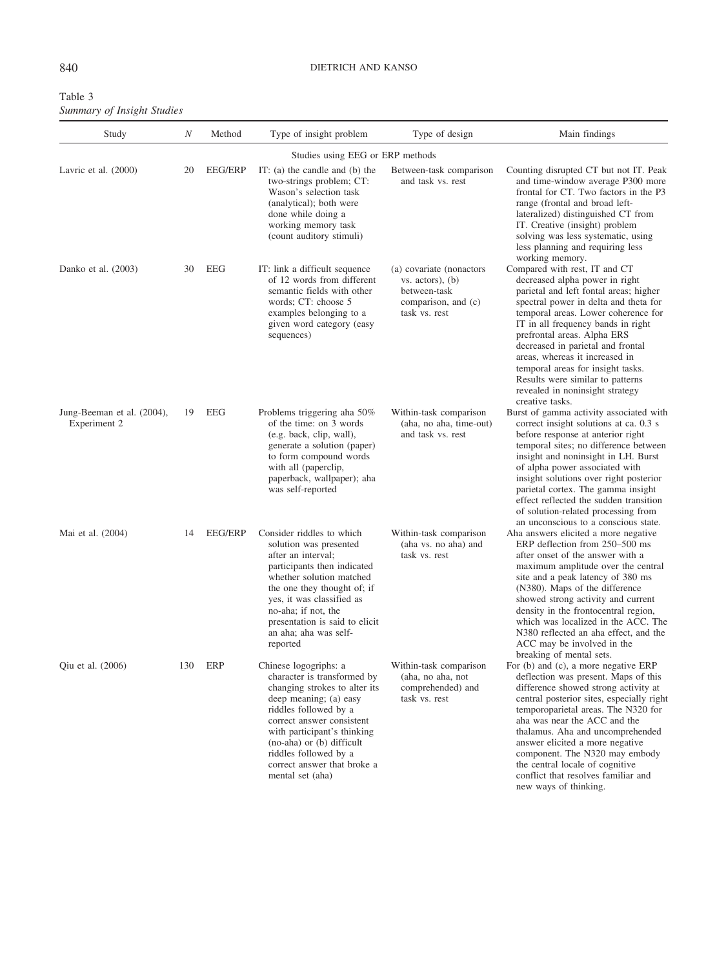|--|--|--|--|

| Table 3 |                            |  |
|---------|----------------------------|--|
|         | Summary of Insight Studies |  |

| Study                                      | N   | Method         | Type of insight problem                                                                                                                                                                                                                                                                                       | Type of design                                                                                       | Main findings                                                                                                                                                                                                                                                                                                                                                                                                                                                                    |  |  |
|--------------------------------------------|-----|----------------|---------------------------------------------------------------------------------------------------------------------------------------------------------------------------------------------------------------------------------------------------------------------------------------------------------------|------------------------------------------------------------------------------------------------------|----------------------------------------------------------------------------------------------------------------------------------------------------------------------------------------------------------------------------------------------------------------------------------------------------------------------------------------------------------------------------------------------------------------------------------------------------------------------------------|--|--|
| Studies using EEG or ERP methods           |     |                |                                                                                                                                                                                                                                                                                                               |                                                                                                      |                                                                                                                                                                                                                                                                                                                                                                                                                                                                                  |  |  |
| Lavric et al. $(2000)$                     | 20  | EEG/ERP        | IT: (a) the candle and (b) the<br>two-strings problem; CT:<br>Wason's selection task<br>(analytical); both were<br>done while doing a<br>working memory task<br>(count auditory stimuli)                                                                                                                      | Between-task comparison<br>and task vs. rest                                                         | Counting disrupted CT but not IT. Peak<br>and time-window average P300 more<br>frontal for CT. Two factors in the P3<br>range (frontal and broad left-<br>lateralized) distinguished CT from<br>IT. Creative (insight) problem<br>solving was less systematic, using<br>less planning and requiring less<br>working memory.                                                                                                                                                      |  |  |
| Danko et al. (2003)                        | 30  | <b>EEG</b>     | IT: link a difficult sequence<br>of 12 words from different<br>semantic fields with other<br>words; CT: choose 5<br>examples belonging to a<br>given word category (easy<br>sequences)                                                                                                                        | (a) covariate (nonactors<br>vs. actors), (b)<br>between-task<br>comparison, and (c)<br>task vs. rest | Compared with rest, IT and CT<br>decreased alpha power in right<br>parietal and left fontal areas; higher<br>spectral power in delta and theta for<br>temporal areas. Lower coherence for<br>IT in all frequency bands in right<br>prefrontal areas. Alpha ERS<br>decreased in parietal and frontal<br>areas, whereas it increased in<br>temporal areas for insight tasks.<br>Results were similar to patterns<br>revealed in noninsight strategy<br>creative tasks.             |  |  |
| Jung-Beeman et al. (2004),<br>Experiment 2 | 19  | <b>EEG</b>     | Problems triggering aha 50%<br>of the time: on 3 words<br>(e.g. back, clip, wall),<br>generate a solution (paper)<br>to form compound words<br>with all (paperclip,<br>paperback, wallpaper); aha<br>was self-reported                                                                                        | Within-task comparison<br>(aha, no aha, time-out)<br>and task vs. rest                               | Burst of gamma activity associated with<br>correct insight solutions at ca. 0.3 s<br>before response at anterior right<br>temporal sites; no difference between<br>insight and noninsight in LH. Burst<br>of alpha power associated with<br>insight solutions over right posterior<br>parietal cortex. The gamma insight<br>effect reflected the sudden transition<br>of solution-related processing from<br>an unconscious to a conscious state.                                |  |  |
| Mai et al. (2004)                          | 14  | <b>EEG/ERP</b> | Consider riddles to which<br>solution was presented<br>after an interval;<br>participants then indicated<br>whether solution matched<br>the one they thought of; if<br>yes, it was classified as<br>no-aha; if not, the<br>presentation is said to elicit<br>an aha; aha was self-<br>reported                | Within-task comparison<br>(aha vs. no aha) and<br>task vs. rest                                      | Aha answers elicited a more negative.<br>ERP deflection from 250–500 ms<br>after onset of the answer with a<br>maximum amplitude over the central<br>site and a peak latency of 380 ms<br>(N380). Maps of the difference<br>showed strong activity and current<br>density in the frontocentral region,<br>which was localized in the ACC. The<br>N380 reflected an aha effect, and the<br>ACC may be involved in the                                                             |  |  |
| Qiu et al. (2006)                          | 130 | ERP            | Chinese logogriphs: a<br>character is transformed by<br>changing strokes to alter its<br>deep meaning; (a) easy<br>riddles followed by a<br>correct answer consistent<br>with participant's thinking<br>(no-aha) or (b) difficult<br>riddles followed by a<br>correct answer that broke a<br>mental set (aha) | Within-task comparison<br>(aha, no aha, not<br>comprehended) and<br>task vs. rest                    | breaking of mental sets.<br>For (b) and (c), a more negative ERP<br>deflection was present. Maps of this<br>difference showed strong activity at<br>central posterior sites, especially right<br>temporoparietal areas. The N320 for<br>aha was near the ACC and the<br>thalamus. Aha and uncomprehended<br>answer elicited a more negative<br>component. The N320 may embody<br>the central locale of cognitive<br>conflict that resolves familiar and<br>new ways of thinking. |  |  |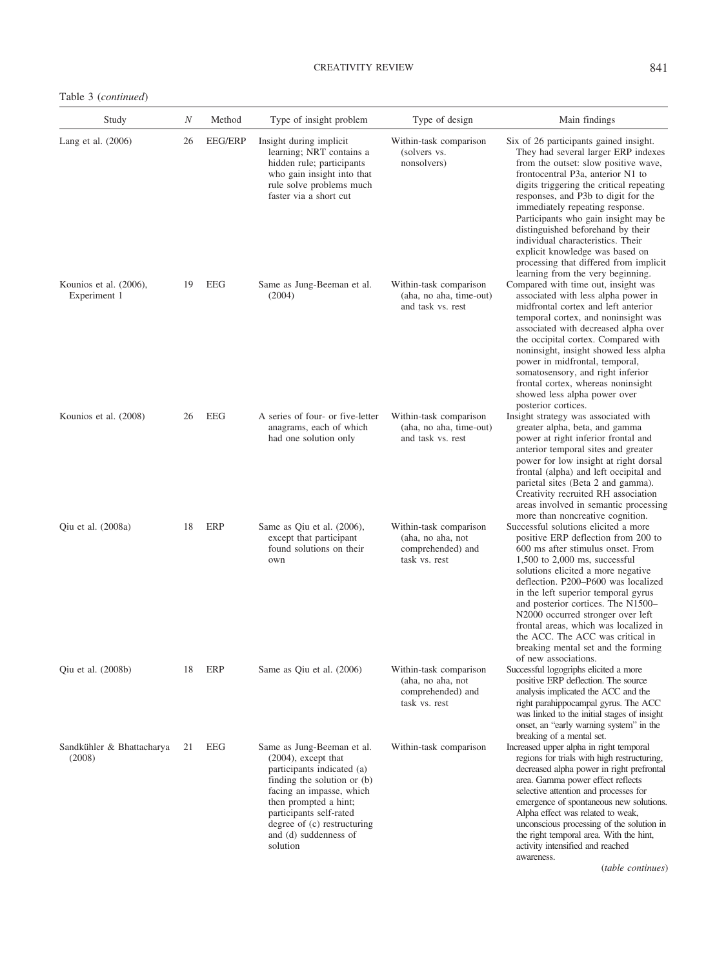# Table 3 (*continued*)

| Study                                     | N  | Method         | Type of insight problem                                                                                                                                                                                                                                               | Type of design                                                                    | Main findings                                                                                                                                                                                                                                                                                                                                                                                                                                                                                    |
|-------------------------------------------|----|----------------|-----------------------------------------------------------------------------------------------------------------------------------------------------------------------------------------------------------------------------------------------------------------------|-----------------------------------------------------------------------------------|--------------------------------------------------------------------------------------------------------------------------------------------------------------------------------------------------------------------------------------------------------------------------------------------------------------------------------------------------------------------------------------------------------------------------------------------------------------------------------------------------|
| Lang et al. $(2006)$                      | 26 | <b>EEG/ERP</b> | Insight during implicit<br>learning; NRT contains a<br>hidden rule; participants<br>who gain insight into that<br>rule solve problems much<br>faster via a short cut                                                                                                  | Within-task comparison<br>(solvers vs.<br>nonsolvers)                             | Six of 26 participants gained insight.<br>They had several larger ERP indexes<br>from the outset: slow positive wave,<br>frontocentral P3a, anterior N1 to<br>digits triggering the critical repeating<br>responses, and P3b to digit for the<br>immediately repeating response.<br>Participants who gain insight may be<br>distinguished beforehand by their<br>individual characteristics. Their<br>explicit knowledge was based on<br>processing that differed from implicit                  |
| Kounios et al. $(2006)$ ,<br>Experiment 1 | 19 | <b>EEG</b>     | Same as Jung-Beeman et al.<br>(2004)                                                                                                                                                                                                                                  | Within-task comparison<br>(aha, no aha, time-out)<br>and task vs. rest            | learning from the very beginning.<br>Compared with time out, insight was<br>associated with less alpha power in<br>midfrontal cortex and left anterior<br>temporal cortex, and noninsight was<br>associated with decreased alpha over<br>the occipital cortex. Compared with<br>noninsight, insight showed less alpha<br>power in midfrontal, temporal,<br>somatosensory, and right inferior<br>frontal cortex, whereas noninsight<br>showed less alpha power over<br>posterior cortices.        |
| Kounios et al. (2008)                     | 26 | <b>EEG</b>     | A series of four- or five-letter<br>anagrams, each of which<br>had one solution only                                                                                                                                                                                  | Within-task comparison<br>(aha, no aha, time-out)<br>and task vs. rest            | Insight strategy was associated with<br>greater alpha, beta, and gamma<br>power at right inferior frontal and<br>anterior temporal sites and greater<br>power for low insight at right dorsal<br>frontal (alpha) and left occipital and<br>parietal sites (Beta 2 and gamma).<br>Creativity recruited RH association<br>areas involved in semantic processing<br>more than noncreative cognition.                                                                                                |
| Qiu et al. (2008a)                        | 18 | <b>ERP</b>     | Same as Qiu et al. (2006),<br>except that participant<br>found solutions on their<br>own                                                                                                                                                                              | Within-task comparison<br>(aha, no aha, not<br>comprehended) and<br>task vs. rest | Successful solutions elicited a more<br>positive ERP deflection from 200 to<br>600 ms after stimulus onset. From<br>$1,500$ to $2,000$ ms, successful<br>solutions elicited a more negative<br>deflection. P200–P600 was localized<br>in the left superior temporal gyrus<br>and posterior cortices. The N1500–<br>N2000 occurred stronger over left<br>frontal areas, which was localized in<br>the ACC. The ACC was critical in<br>breaking mental set and the forming<br>of new associations. |
| Qiu et al. (2008b)                        | 18 | ERP            | Same as Oiu et al. (2006)                                                                                                                                                                                                                                             | Within-task comparison<br>(aha, no aha, not<br>comprehended) and<br>task vs. rest | Successful logogriphs elicited a more<br>positive ERP deflection. The source<br>analysis implicated the ACC and the<br>right parahippocampal gyrus. The ACC<br>was linked to the initial stages of insight<br>onset, an "early warning system" in the<br>breaking of a mental set.                                                                                                                                                                                                               |
| Sandkühler & Bhattacharya<br>(2008)       | 21 | EEG            | Same as Jung-Beeman et al.<br>$(2004)$ , except that<br>participants indicated (a)<br>finding the solution or (b)<br>facing an impasse, which<br>then prompted a hint;<br>participants self-rated<br>degree of (c) restructuring<br>and (d) suddenness of<br>solution | Within-task comparison                                                            | Increased upper alpha in right temporal<br>regions for trials with high restructuring,<br>decreased alpha power in right prefrontal<br>area. Gamma power effect reflects<br>selective attention and processes for<br>emergence of spontaneous new solutions.<br>Alpha effect was related to weak,<br>unconscious processing of the solution in<br>the right temporal area. With the hint,<br>activity intensified and reached<br>awareness.                                                      |

(*table continues*)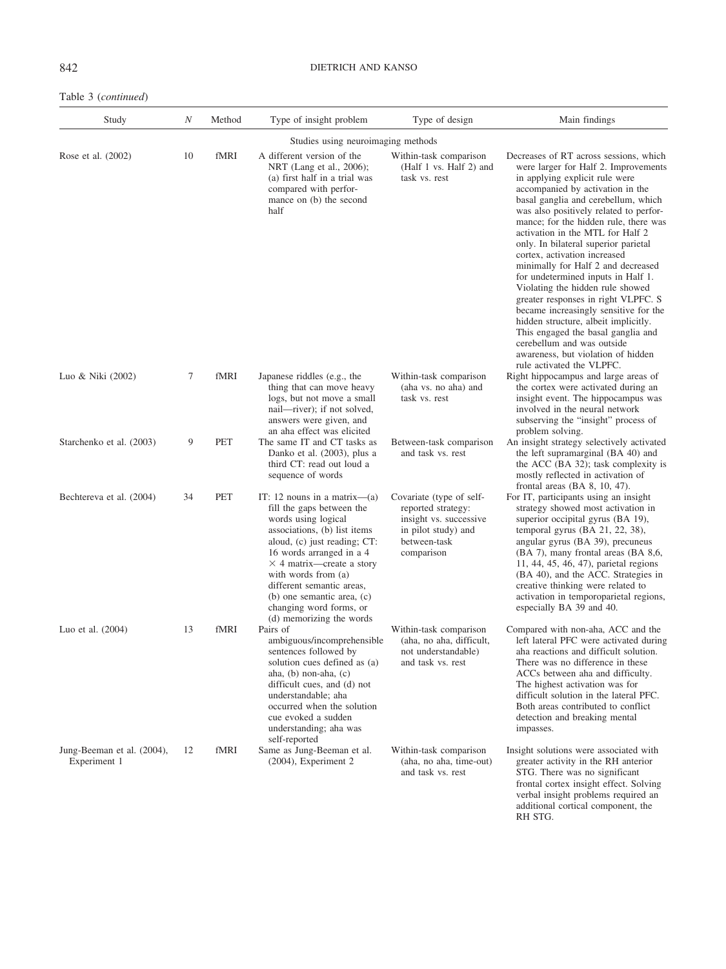Table 3 (*continued*)

| Study                                      | N  | Method     | Type of insight problem                                                                                                                                                                                                                                                                                                                                          | Type of design                                                                                                                | Main findings                                                                                                                                                                                                                                                                                                                                                                                                                                                                                                                                                                                                                                                                                                                                                             |
|--------------------------------------------|----|------------|------------------------------------------------------------------------------------------------------------------------------------------------------------------------------------------------------------------------------------------------------------------------------------------------------------------------------------------------------------------|-------------------------------------------------------------------------------------------------------------------------------|---------------------------------------------------------------------------------------------------------------------------------------------------------------------------------------------------------------------------------------------------------------------------------------------------------------------------------------------------------------------------------------------------------------------------------------------------------------------------------------------------------------------------------------------------------------------------------------------------------------------------------------------------------------------------------------------------------------------------------------------------------------------------|
|                                            |    |            | Studies using neuroimaging methods                                                                                                                                                                                                                                                                                                                               |                                                                                                                               |                                                                                                                                                                                                                                                                                                                                                                                                                                                                                                                                                                                                                                                                                                                                                                           |
| Rose et al. (2002)                         | 10 | fMRI       | A different version of the<br>NRT (Lang et al., 2006);<br>(a) first half in a trial was<br>compared with perfor-<br>mance on (b) the second<br>half                                                                                                                                                                                                              | Within-task comparison<br>(Half 1 vs. Half 2) and<br>task vs. rest                                                            | Decreases of RT across sessions, which<br>were larger for Half 2. Improvements<br>in applying explicit rule were<br>accompanied by activation in the<br>basal ganglia and cerebellum, which<br>was also positively related to perfor-<br>mance; for the hidden rule, there was<br>activation in the MTL for Half 2<br>only. In bilateral superior parietal<br>cortex, activation increased<br>minimally for Half 2 and decreased<br>for undetermined inputs in Half 1.<br>Violating the hidden rule showed<br>greater responses in right VLPFC. S<br>became increasingly sensitive for the<br>hidden structure, albeit implicitly.<br>This engaged the basal ganglia and<br>cerebellum and was outside<br>awareness, but violation of hidden<br>rule activated the VLPFC. |
| Luo & Niki (2002)                          | 7  | fMRI       | Japanese riddles (e.g., the<br>thing that can move heavy<br>logs, but not move a small<br>nail—river); if not solved,<br>answers were given, and<br>an aha effect was elicited                                                                                                                                                                                   | Within-task comparison<br>(aha vs. no aha) and<br>task vs. rest                                                               | Right hippocampus and large areas of<br>the cortex were activated during an<br>insight event. The hippocampus was<br>involved in the neural network<br>subserving the "insight" process of<br>problem solving.                                                                                                                                                                                                                                                                                                                                                                                                                                                                                                                                                            |
| Starchenko et al. (2003)                   | 9  | PET        | The same IT and CT tasks as<br>Danko et al. (2003), plus a<br>third CT: read out loud a<br>sequence of words                                                                                                                                                                                                                                                     | Between-task comparison<br>and task vs. rest                                                                                  | An insight strategy selectively activated<br>the left supramarginal (BA 40) and<br>the ACC (BA 32); task complexity is<br>mostly reflected in activation of<br>frontal areas $(BA 8, 10, 47)$ .                                                                                                                                                                                                                                                                                                                                                                                                                                                                                                                                                                           |
| Bechtereva et al. (2004)                   | 34 | <b>PET</b> | IT: 12 nouns in a matrix— $(a)$<br>fill the gaps between the<br>words using logical<br>associations, (b) list items<br>aloud, (c) just reading; CT:<br>16 words arranged in a 4<br>$\times$ 4 matrix—create a story<br>with words from (a)<br>different semantic areas,<br>$(b)$ one semantic area, $(c)$<br>changing word forms, or<br>(d) memorizing the words | Covariate (type of self-<br>reported strategy:<br>insight vs. successive<br>in pilot study) and<br>between-task<br>comparison | For IT, participants using an insight<br>strategy showed most activation in<br>superior occipital gyrus (BA 19),<br>temporal gyrus $(BA 21, 22, 38)$ ,<br>angular gyrus (BA 39), precuneus<br>(BA 7), many frontal areas (BA 8,6,<br>11, 44, 45, 46, 47), parietal regions<br>(BA 40), and the ACC. Strategies in<br>creative thinking were related to<br>activation in temporoparietal regions,<br>especially BA 39 and 40.                                                                                                                                                                                                                                                                                                                                              |
| Luo et al. $(2004)$                        | 13 | fMRI       | Pairs of<br>ambiguous/incomprehensible<br>sentences followed by<br>solution cues defined as (a)<br>aha, $(b)$ non-aha, $(c)$<br>difficult cues, and (d) not<br>understandable; aha<br>occurred when the solution<br>cue evoked a sudden<br>understanding; aha was<br>self-reported                                                                               | Within-task comparison<br>(aha, no aha, difficult,<br>not understandable)<br>and task vs. rest                                | Compared with non-aha, ACC and the<br>left lateral PFC were activated during<br>aha reactions and difficult solution.<br>There was no difference in these<br>ACCs between aha and difficulty.<br>The highest activation was for<br>difficult solution in the lateral PFC.<br>Both areas contributed to conflict<br>detection and breaking mental<br>impasses.                                                                                                                                                                                                                                                                                                                                                                                                             |
| Jung-Beeman et al. (2004),<br>Experiment 1 | 12 | fMRI       | Same as Jung-Beeman et al.<br>$(2004)$ , Experiment 2                                                                                                                                                                                                                                                                                                            | Within-task comparison<br>(aha, no aha, time-out)<br>and task vs. rest                                                        | Insight solutions were associated with<br>greater activity in the RH anterior<br>STG. There was no significant<br>frontal cortex insight effect. Solving                                                                                                                                                                                                                                                                                                                                                                                                                                                                                                                                                                                                                  |

frontal cortex insight effect. Solving verbal insight problems required an additional cortical component, the RH STG.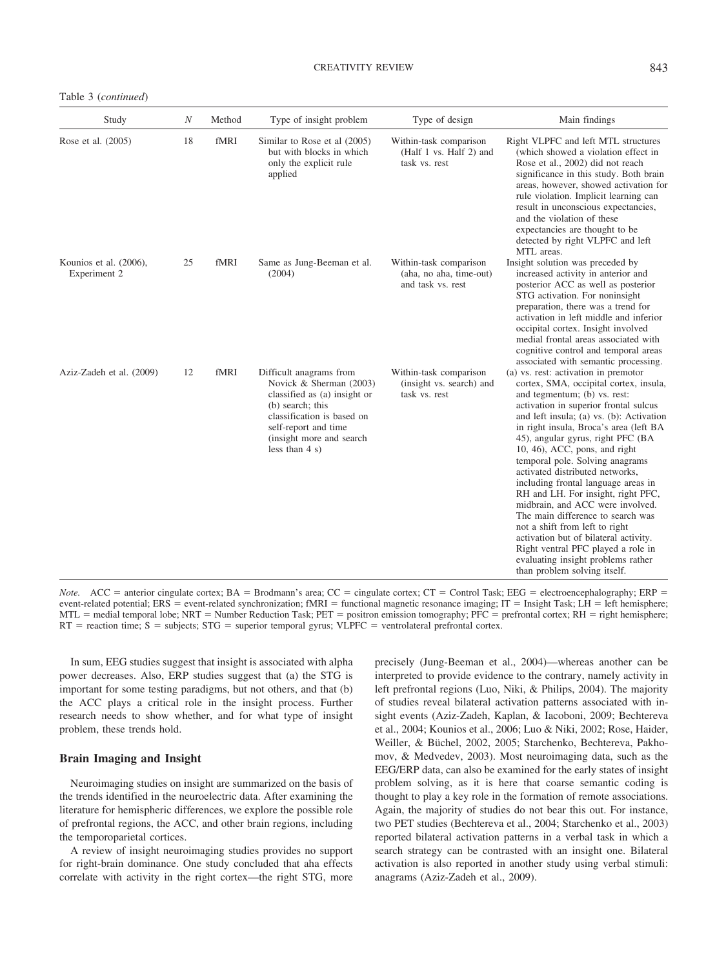#### Table 3 (*continued*)

| Study                                  | $\boldsymbol{N}$ | Method | Type of insight problem                                                                                                                                                                                       | Type of design                                                         | Main findings                                                                                                                                                                                                                                                                                                                                                                                                                                                                                                                                                                                                                                                                                                                            |
|----------------------------------------|------------------|--------|---------------------------------------------------------------------------------------------------------------------------------------------------------------------------------------------------------------|------------------------------------------------------------------------|------------------------------------------------------------------------------------------------------------------------------------------------------------------------------------------------------------------------------------------------------------------------------------------------------------------------------------------------------------------------------------------------------------------------------------------------------------------------------------------------------------------------------------------------------------------------------------------------------------------------------------------------------------------------------------------------------------------------------------------|
| Rose et al. (2005)                     | 18               | fMRI   | Similar to Rose et al (2005)<br>but with blocks in which<br>only the explicit rule<br>applied                                                                                                                 | Within-task comparison<br>(Half 1 vs. Half 2) and<br>task vs. rest     | Right VLPFC and left MTL structures<br>(which showed a violation effect in<br>Rose et al., 2002) did not reach<br>significance in this study. Both brain<br>areas, however, showed activation for<br>rule violation. Implicit learning can<br>result in unconscious expectancies,<br>and the violation of these<br>expectancies are thought to be<br>detected by right VLPFC and left<br>MTL areas.                                                                                                                                                                                                                                                                                                                                      |
| Kounios et al. (2006),<br>Experiment 2 | 25               | fMRI   | Same as Jung-Beeman et al.<br>(2004)                                                                                                                                                                          | Within-task comparison<br>(aha, no aha, time-out)<br>and task vs. rest | Insight solution was preceded by<br>increased activity in anterior and<br>posterior ACC as well as posterior<br>STG activation. For noninsight<br>preparation, there was a trend for<br>activation in left middle and inferior<br>occipital cortex. Insight involved<br>medial frontal areas associated with<br>cognitive control and temporal areas<br>associated with semantic processing.                                                                                                                                                                                                                                                                                                                                             |
| Aziz-Zadeh et al. (2009)               | 12               | fMRI   | Difficult anagrams from<br>Novick & Sherman (2003)<br>classified as (a) insight or<br>(b) search; this<br>classification is based on<br>self-report and time<br>(insight more and search<br>less than $4 s$ ) | Within-task comparison<br>(insight vs. search) and<br>task vs. rest    | (a) vs. rest: activation in premotor<br>cortex, SMA, occipital cortex, insula,<br>and tegmentum; (b) vs. rest:<br>activation in superior frontal sulcus<br>and left insula; (a) vs. (b): Activation<br>in right insula, Broca's area (left BA<br>45), angular gyrus, right PFC (BA<br>$10, 46$ , ACC, pons, and right<br>temporal pole. Solving anagrams<br>activated distributed networks,<br>including frontal language areas in<br>RH and LH. For insight, right PFC,<br>midbrain, and ACC were involved.<br>The main difference to search was<br>not a shift from left to right<br>activation but of bilateral activity.<br>Right ventral PFC played a role in<br>evaluating insight problems rather<br>than problem solving itself. |

*Note.* ACC = anterior cingulate cortex; BA = Brodmann's area; CC = cingulate cortex; CT = Control Task; EEG = electroencephalography; ERP = event-related potential; ERS = event-related synchronization; fMRI = functional magnetic resonance imaging; IT = Insight Task; LH = left hemisphere; MTL = medial temporal lobe; NRT = Number Reduction Task; PET = positron emission tomography; PFC = prefrontal cortex; RH = right hemisphere;  $RT$  = reaction time; S = subjects; STG = superior temporal gyrus; VLPFC = ventrolateral prefrontal cortex.

In sum, EEG studies suggest that insight is associated with alpha power decreases. Also, ERP studies suggest that (a) the STG is important for some testing paradigms, but not others, and that (b) the ACC plays a critical role in the insight process. Further research needs to show whether, and for what type of insight problem, these trends hold.

## **Brain Imaging and Insight**

Neuroimaging studies on insight are summarized on the basis of the trends identified in the neuroelectric data. After examining the literature for hemispheric differences, we explore the possible role of prefrontal regions, the ACC, and other brain regions, including the temporoparietal cortices.

A review of insight neuroimaging studies provides no support for right-brain dominance. One study concluded that aha effects correlate with activity in the right cortex—the right STG, more precisely (Jung-Beeman et al., 2004)—whereas another can be interpreted to provide evidence to the contrary, namely activity in left prefrontal regions (Luo, Niki, & Philips, 2004). The majority of studies reveal bilateral activation patterns associated with insight events (Aziz-Zadeh, Kaplan, & Iacoboni, 2009; Bechtereva et al., 2004; Kounios et al., 2006; Luo & Niki, 2002; Rose, Haider, Weiller, & Büchel, 2002, 2005; Starchenko, Bechtereva, Pakhomov, & Medvedev, 2003). Most neuroimaging data, such as the EEG/ERP data, can also be examined for the early states of insight problem solving, as it is here that coarse semantic coding is thought to play a key role in the formation of remote associations. Again, the majority of studies do not bear this out. For instance, two PET studies (Bechtereva et al., 2004; Starchenko et al., 2003) reported bilateral activation patterns in a verbal task in which a search strategy can be contrasted with an insight one. Bilateral activation is also reported in another study using verbal stimuli: anagrams (Aziz-Zadeh et al., 2009).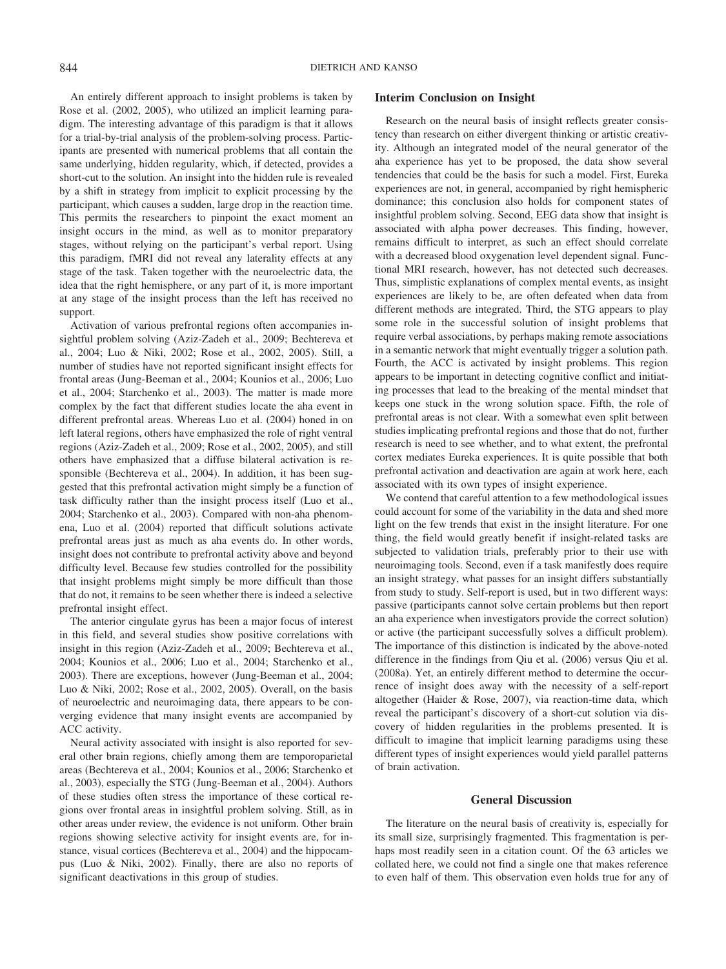An entirely different approach to insight problems is taken by Rose et al. (2002, 2005), who utilized an implicit learning paradigm. The interesting advantage of this paradigm is that it allows for a trial-by-trial analysis of the problem-solving process. Participants are presented with numerical problems that all contain the same underlying, hidden regularity, which, if detected, provides a short-cut to the solution. An insight into the hidden rule is revealed by a shift in strategy from implicit to explicit processing by the participant, which causes a sudden, large drop in the reaction time. This permits the researchers to pinpoint the exact moment an insight occurs in the mind, as well as to monitor preparatory stages, without relying on the participant's verbal report. Using this paradigm, fMRI did not reveal any laterality effects at any stage of the task. Taken together with the neuroelectric data, the idea that the right hemisphere, or any part of it, is more important at any stage of the insight process than the left has received no support.

Activation of various prefrontal regions often accompanies insightful problem solving (Aziz-Zadeh et al., 2009; Bechtereva et al., 2004; Luo & Niki, 2002; Rose et al., 2002, 2005). Still, a number of studies have not reported significant insight effects for frontal areas (Jung-Beeman et al., 2004; Kounios et al., 2006; Luo et al., 2004; Starchenko et al., 2003). The matter is made more complex by the fact that different studies locate the aha event in different prefrontal areas. Whereas Luo et al. (2004) honed in on left lateral regions, others have emphasized the role of right ventral regions (Aziz-Zadeh et al., 2009; Rose et al., 2002, 2005), and still others have emphasized that a diffuse bilateral activation is responsible (Bechtereva et al., 2004). In addition, it has been suggested that this prefrontal activation might simply be a function of task difficulty rather than the insight process itself (Luo et al., 2004; Starchenko et al., 2003). Compared with non-aha phenomena, Luo et al. (2004) reported that difficult solutions activate prefrontal areas just as much as aha events do. In other words, insight does not contribute to prefrontal activity above and beyond difficulty level. Because few studies controlled for the possibility that insight problems might simply be more difficult than those that do not, it remains to be seen whether there is indeed a selective prefrontal insight effect.

The anterior cingulate gyrus has been a major focus of interest in this field, and several studies show positive correlations with insight in this region (Aziz-Zadeh et al., 2009; Bechtereva et al., 2004; Kounios et al., 2006; Luo et al., 2004; Starchenko et al., 2003). There are exceptions, however (Jung-Beeman et al., 2004; Luo & Niki, 2002; Rose et al., 2002, 2005). Overall, on the basis of neuroelectric and neuroimaging data, there appears to be converging evidence that many insight events are accompanied by ACC activity.

Neural activity associated with insight is also reported for several other brain regions, chiefly among them are temporoparietal areas (Bechtereva et al., 2004; Kounios et al., 2006; Starchenko et al., 2003), especially the STG (Jung-Beeman et al., 2004). Authors of these studies often stress the importance of these cortical regions over frontal areas in insightful problem solving. Still, as in other areas under review, the evidence is not uniform. Other brain regions showing selective activity for insight events are, for instance, visual cortices (Bechtereva et al., 2004) and the hippocampus (Luo & Niki, 2002). Finally, there are also no reports of significant deactivations in this group of studies.

#### **Interim Conclusion on Insight**

Research on the neural basis of insight reflects greater consistency than research on either divergent thinking or artistic creativity. Although an integrated model of the neural generator of the aha experience has yet to be proposed, the data show several tendencies that could be the basis for such a model. First, Eureka experiences are not, in general, accompanied by right hemispheric dominance; this conclusion also holds for component states of insightful problem solving. Second, EEG data show that insight is associated with alpha power decreases. This finding, however, remains difficult to interpret, as such an effect should correlate with a decreased blood oxygenation level dependent signal. Functional MRI research, however, has not detected such decreases. Thus, simplistic explanations of complex mental events, as insight experiences are likely to be, are often defeated when data from different methods are integrated. Third, the STG appears to play some role in the successful solution of insight problems that require verbal associations, by perhaps making remote associations in a semantic network that might eventually trigger a solution path. Fourth, the ACC is activated by insight problems. This region appears to be important in detecting cognitive conflict and initiating processes that lead to the breaking of the mental mindset that keeps one stuck in the wrong solution space. Fifth, the role of prefrontal areas is not clear. With a somewhat even split between studies implicating prefrontal regions and those that do not, further research is need to see whether, and to what extent, the prefrontal cortex mediates Eureka experiences. It is quite possible that both prefrontal activation and deactivation are again at work here, each associated with its own types of insight experience.

We contend that careful attention to a few methodological issues could account for some of the variability in the data and shed more light on the few trends that exist in the insight literature. For one thing, the field would greatly benefit if insight-related tasks are subjected to validation trials, preferably prior to their use with neuroimaging tools. Second, even if a task manifestly does require an insight strategy, what passes for an insight differs substantially from study to study. Self-report is used, but in two different ways: passive (participants cannot solve certain problems but then report an aha experience when investigators provide the correct solution) or active (the participant successfully solves a difficult problem). The importance of this distinction is indicated by the above-noted difference in the findings from Qiu et al. (2006) versus Qiu et al. (2008a). Yet, an entirely different method to determine the occurrence of insight does away with the necessity of a self-report altogether (Haider & Rose, 2007), via reaction-time data, which reveal the participant's discovery of a short-cut solution via discovery of hidden regularities in the problems presented. It is difficult to imagine that implicit learning paradigms using these different types of insight experiences would yield parallel patterns of brain activation.

#### **General Discussion**

The literature on the neural basis of creativity is, especially for its small size, surprisingly fragmented. This fragmentation is perhaps most readily seen in a citation count. Of the 63 articles we collated here, we could not find a single one that makes reference to even half of them. This observation even holds true for any of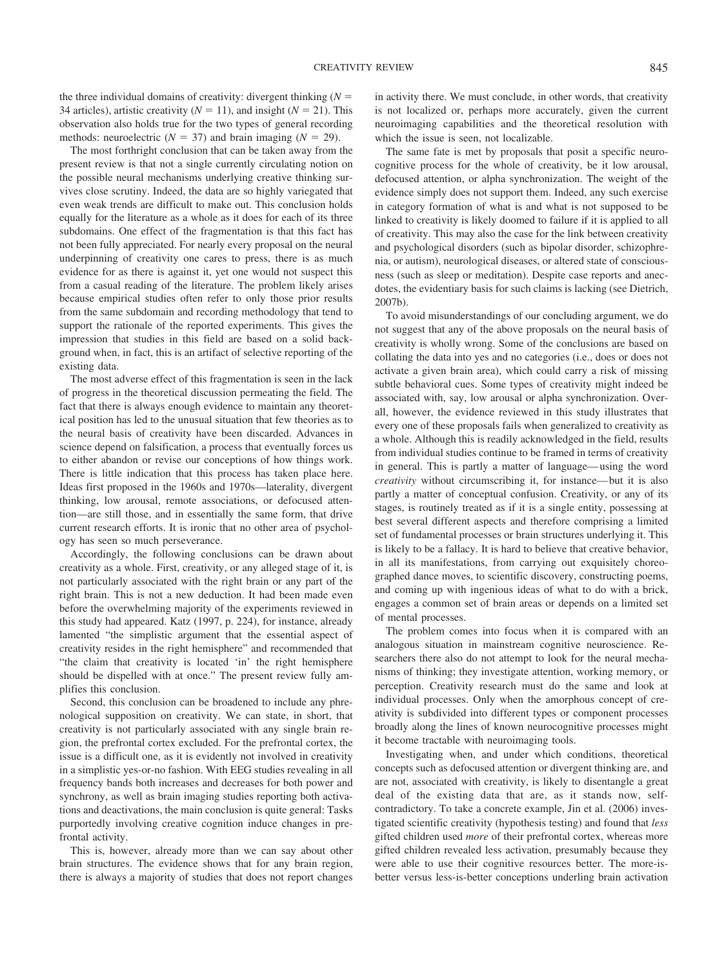the three individual domains of creativity: divergent thinking  $(N =$ 34 articles), artistic creativity ( $N = 11$ ), and insight ( $N = 21$ ). This observation also holds true for the two types of general recording methods: neuroelectric ( $N = 37$ ) and brain imaging ( $N = 29$ ).

The most forthright conclusion that can be taken away from the present review is that not a single currently circulating notion on the possible neural mechanisms underlying creative thinking survives close scrutiny. Indeed, the data are so highly variegated that even weak trends are difficult to make out. This conclusion holds equally for the literature as a whole as it does for each of its three subdomains. One effect of the fragmentation is that this fact has not been fully appreciated. For nearly every proposal on the neural underpinning of creativity one cares to press, there is as much evidence for as there is against it, yet one would not suspect this from a casual reading of the literature. The problem likely arises because empirical studies often refer to only those prior results from the same subdomain and recording methodology that tend to support the rationale of the reported experiments. This gives the impression that studies in this field are based on a solid background when, in fact, this is an artifact of selective reporting of the existing data.

The most adverse effect of this fragmentation is seen in the lack of progress in the theoretical discussion permeating the field. The fact that there is always enough evidence to maintain any theoretical position has led to the unusual situation that few theories as to the neural basis of creativity have been discarded. Advances in science depend on falsification, a process that eventually forces us to either abandon or revise our conceptions of how things work. There is little indication that this process has taken place here. Ideas first proposed in the 1960s and 1970s—laterality, divergent thinking, low arousal, remote associations, or defocused attention—are still those, and in essentially the same form, that drive current research efforts. It is ironic that no other area of psychology has seen so much perseverance.

Accordingly, the following conclusions can be drawn about creativity as a whole. First, creativity, or any alleged stage of it, is not particularly associated with the right brain or any part of the right brain. This is not a new deduction. It had been made even before the overwhelming majority of the experiments reviewed in this study had appeared. Katz (1997, p. 224), for instance, already lamented "the simplistic argument that the essential aspect of creativity resides in the right hemisphere" and recommended that "the claim that creativity is located 'in' the right hemisphere should be dispelled with at once." The present review fully amplifies this conclusion.

Second, this conclusion can be broadened to include any phrenological supposition on creativity. We can state, in short, that creativity is not particularly associated with any single brain region, the prefrontal cortex excluded. For the prefrontal cortex, the issue is a difficult one, as it is evidently not involved in creativity in a simplistic yes-or-no fashion. With EEG studies revealing in all frequency bands both increases and decreases for both power and synchrony, as well as brain imaging studies reporting both activations and deactivations, the main conclusion is quite general: Tasks purportedly involving creative cognition induce changes in prefrontal activity.

This is, however, already more than we can say about other brain structures. The evidence shows that for any brain region, there is always a majority of studies that does not report changes in activity there. We must conclude, in other words, that creativity is not localized or, perhaps more accurately, given the current neuroimaging capabilities and the theoretical resolution with which the issue is seen, not localizable.

The same fate is met by proposals that posit a specific neurocognitive process for the whole of creativity, be it low arousal, defocused attention, or alpha synchronization. The weight of the evidence simply does not support them. Indeed, any such exercise in category formation of what is and what is not supposed to be linked to creativity is likely doomed to failure if it is applied to all of creativity. This may also the case for the link between creativity and psychological disorders (such as bipolar disorder, schizophrenia, or autism), neurological diseases, or altered state of consciousness (such as sleep or meditation). Despite case reports and anecdotes, the evidentiary basis for such claims is lacking (see Dietrich, 2007b).

To avoid misunderstandings of our concluding argument, we do not suggest that any of the above proposals on the neural basis of creativity is wholly wrong. Some of the conclusions are based on collating the data into yes and no categories (i.e., does or does not activate a given brain area), which could carry a risk of missing subtle behavioral cues. Some types of creativity might indeed be associated with, say, low arousal or alpha synchronization. Overall, however, the evidence reviewed in this study illustrates that every one of these proposals fails when generalized to creativity as a whole. Although this is readily acknowledged in the field, results from individual studies continue to be framed in terms of creativity in general. This is partly a matter of language—using the word *creativity* without circumscribing it, for instance—but it is also partly a matter of conceptual confusion. Creativity, or any of its stages, is routinely treated as if it is a single entity, possessing at best several different aspects and therefore comprising a limited set of fundamental processes or brain structures underlying it. This is likely to be a fallacy. It is hard to believe that creative behavior, in all its manifestations, from carrying out exquisitely choreographed dance moves, to scientific discovery, constructing poems, and coming up with ingenious ideas of what to do with a brick, engages a common set of brain areas or depends on a limited set of mental processes.

The problem comes into focus when it is compared with an analogous situation in mainstream cognitive neuroscience. Researchers there also do not attempt to look for the neural mechanisms of thinking; they investigate attention, working memory, or perception. Creativity research must do the same and look at individual processes. Only when the amorphous concept of creativity is subdivided into different types or component processes broadly along the lines of known neurocognitive processes might it become tractable with neuroimaging tools.

Investigating when, and under which conditions, theoretical concepts such as defocused attention or divergent thinking are, and are not, associated with creativity, is likely to disentangle a great deal of the existing data that are, as it stands now, selfcontradictory. To take a concrete example, Jin et al. (2006) investigated scientific creativity (hypothesis testing) and found that *less* gifted children used *more* of their prefrontal cortex, whereas more gifted children revealed less activation, presumably because they were able to use their cognitive resources better. The more-isbetter versus less-is-better conceptions underling brain activation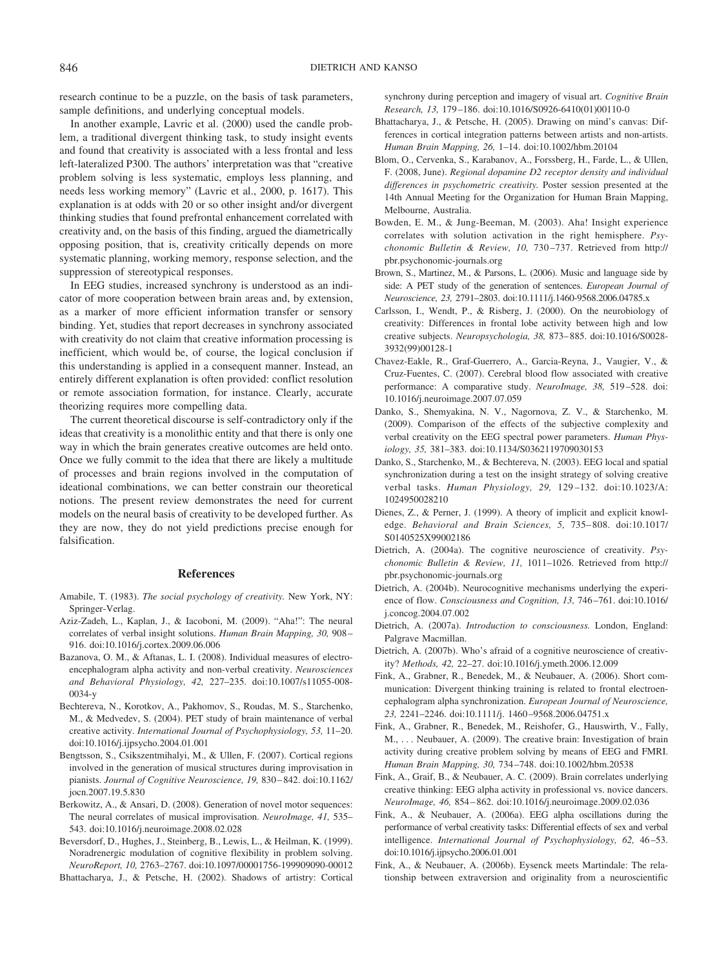research continue to be a puzzle, on the basis of task parameters, sample definitions, and underlying conceptual models.

In another example, Lavric et al. (2000) used the candle problem, a traditional divergent thinking task, to study insight events and found that creativity is associated with a less frontal and less left-lateralized P300. The authors' interpretation was that "creative problem solving is less systematic, employs less planning, and needs less working memory" (Lavric et al., 2000, p. 1617). This explanation is at odds with 20 or so other insight and/or divergent thinking studies that found prefrontal enhancement correlated with creativity and, on the basis of this finding, argued the diametrically opposing position, that is, creativity critically depends on more systematic planning, working memory, response selection, and the suppression of stereotypical responses.

In EEG studies, increased synchrony is understood as an indicator of more cooperation between brain areas and, by extension, as a marker of more efficient information transfer or sensory binding. Yet, studies that report decreases in synchrony associated with creativity do not claim that creative information processing is inefficient, which would be, of course, the logical conclusion if this understanding is applied in a consequent manner. Instead, an entirely different explanation is often provided: conflict resolution or remote association formation, for instance. Clearly, accurate theorizing requires more compelling data.

The current theoretical discourse is self-contradictory only if the ideas that creativity is a monolithic entity and that there is only one way in which the brain generates creative outcomes are held onto. Once we fully commit to the idea that there are likely a multitude of processes and brain regions involved in the computation of ideational combinations, we can better constrain our theoretical notions. The present review demonstrates the need for current models on the neural basis of creativity to be developed further. As they are now, they do not yield predictions precise enough for falsification.

#### **References**

- Amabile, T. (1983). *The social psychology of creativity.* New York, NY: Springer-Verlag.
- Aziz-Zadeh, L., Kaplan, J., & Iacoboni, M. (2009). "Aha!": The neural correlates of verbal insight solutions. *Human Brain Mapping, 30,* 908– 916. doi:10.1016/j.cortex.2009.06.006
- Bazanova, O. M., & Aftanas, L. I. (2008). Individual measures of electroencephalogram alpha activity and non-verbal creativity. *Neurosciences and Behavioral Physiology, 42,* 227–235. doi:10.1007/s11055-008- 0034-y
- Bechtereva, N., Korotkov, A., Pakhomov, S., Roudas, M. S., Starchenko, M., & Medvedev, S. (2004). PET study of brain maintenance of verbal creative activity. *International Journal of Psychophysiology, 53,* 11–20. doi:10.1016/j.ijpsycho.2004.01.001
- Bengtsson, S., Csikszentmihalyi, M., & Ullen, F. (2007). Cortical regions involved in the generation of musical structures during improvisation in pianists. *Journal of Cognitive Neuroscience, 19,* 830–842. doi:10.1162/ jocn.2007.19.5.830
- Berkowitz, A., & Ansari, D. (2008). Generation of novel motor sequences: The neural correlates of musical improvisation. *NeuroImage, 41,* 535– 543. doi:10.1016/j.neuroimage.2008.02.028
- Beversdorf, D., Hughes, J., Steinberg, B., Lewis, L., & Heilman, K. (1999). Noradrenergic modulation of cognitive flexibility in problem solving. *NeuroReport, 10,* 2763–2767. doi:10.1097/00001756-199909090-00012

Bhattacharya, J., & Petsche, H. (2002). Shadows of artistry: Cortical

synchrony during perception and imagery of visual art. *Cognitive Brain Research, 13,* 179–186. doi:10.1016/S0926-6410(01)00110-0

- Bhattacharya, J., & Petsche, H. (2005). Drawing on mind's canvas: Differences in cortical integration patterns between artists and non-artists. *Human Brain Mapping, 26,* 1–14. doi:10.1002/hbm.20104
- Blom, O., Cervenka, S., Karabanov, A., Forssberg, H., Farde, L., & Ullen, F. (2008, June). *Regional dopamine D2 receptor density and individual differences in psychometric creativity.* Poster session presented at the 14th Annual Meeting for the Organization for Human Brain Mapping, Melbourne, Australia.
- Bowden, E. M., & Jung-Beeman, M. (2003). Aha! Insight experience correlates with solution activation in the right hemisphere. *Psychonomic Bulletin & Review, 10,* 730–737. Retrieved from http:// pbr.psychonomic-journals.org
- Brown, S., Martinez, M., & Parsons, L. (2006). Music and language side by side: A PET study of the generation of sentences. *European Journal of Neuroscience, 23,* 2791–2803. doi:10.1111/j.1460-9568.2006.04785.x
- Carlsson, I., Wendt, P., & Risberg, J. (2000). On the neurobiology of creativity: Differences in frontal lobe activity between high and low creative subjects. *Neuropsychologia, 38,* 873–885. doi:10.1016/S0028- 3932(99)00128-1
- Chavez-Eakle, R., Graf-Guerrero, A., Garcia-Reyna, J., Vaugier, V., & Cruz-Fuentes, C. (2007). Cerebral blood flow associated with creative performance: A comparative study. *NeuroImage, 38,* 519–528. doi: 10.1016/j.neuroimage.2007.07.059
- Danko, S., Shemyakina, N. V., Nagornova, Z. V., & Starchenko, M. (2009). Comparison of the effects of the subjective complexity and verbal creativity on the EEG spectral power parameters. *Human Physiology, 35,* 381–383. doi:10.1134/S0362119709030153
- Danko, S., Starchenko, M., & Bechtereva, N. (2003). EEG local and spatial synchronization during a test on the insight strategy of solving creative verbal tasks. *Human Physiology, 29,* 129–132. doi:10.1023/A: 1024950028210
- Dienes, Z., & Perner, J. (1999). A theory of implicit and explicit knowledge. *Behavioral and Brain Sciences, 5,* 735–808. doi:10.1017/ S0140525X99002186
- Dietrich, A. (2004a). The cognitive neuroscience of creativity. *Psychonomic Bulletin & Review, 11,* 1011–1026. Retrieved from http:// pbr.psychonomic-journals.org
- Dietrich, A. (2004b). Neurocognitive mechanisms underlying the experience of flow. *Consciousness and Cognition, 13,* 746–761. doi:10.1016/ j.concog.2004.07.002
- Dietrich, A. (2007a). *Introduction to consciousness.* London, England: Palgrave Macmillan.
- Dietrich, A. (2007b). Who's afraid of a cognitive neuroscience of creativity? *Methods, 42,* 22–27. doi:10.1016/j.ymeth.2006.12.009
- Fink, A., Grabner, R., Benedek, M., & Neubauer, A. (2006). Short communication: Divergent thinking training is related to frontal electroencephalogram alpha synchronization. *European Journal of Neuroscience, 23,* 2241–2246. doi:10.1111/j. 1460–9568.2006.04751.x
- Fink, A., Grabner, R., Benedek, M., Reishofer, G., Hauswirth, V., Fally, M., . . . Neubauer, A. (2009). The creative brain: Investigation of brain activity during creative problem solving by means of EEG and FMRI. *Human Brain Mapping, 30,* 734–748. doi:10.1002/hbm.20538
- Fink, A., Graif, B., & Neubauer, A. C. (2009). Brain correlates underlying creative thinking: EEG alpha activity in professional vs. novice dancers. *NeuroImage, 46,* 854–862. doi:10.1016/j.neuroimage.2009.02.036
- Fink, A., & Neubauer, A. (2006a). EEG alpha oscillations during the performance of verbal creativity tasks: Differential effects of sex and verbal intelligence. *International Journal of Psychophysiology, 62,* 46–53. doi:10.1016/j.ijpsycho.2006.01.001
- Fink, A., & Neubauer, A. (2006b). Eysenck meets Martindale: The relationship between extraversion and originality from a neuroscientific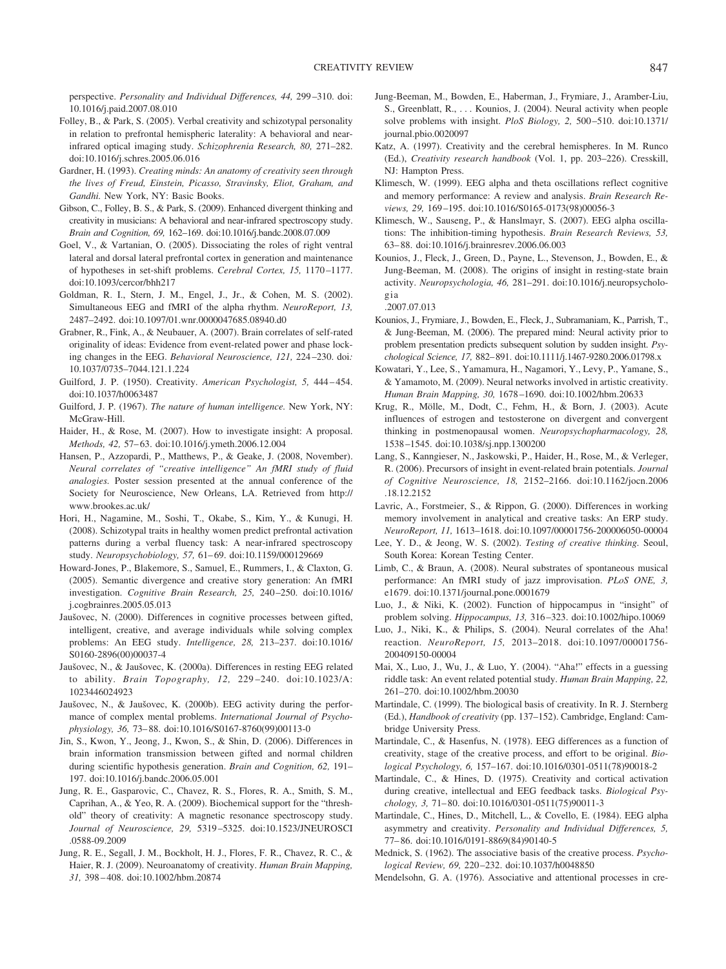perspective. *Personality and Individual Differences, 44,* 299–310. doi: 10.1016/j.paid.2007.08.010

- Folley, B., & Park, S. (2005). Verbal creativity and schizotypal personality in relation to prefrontal hemispheric laterality: A behavioral and nearinfrared optical imaging study. *Schizophrenia Research, 80,* 271–282. doi:10.1016/j.schres.2005.06.016
- Gardner, H. (1993). *Creating minds: An anatomy of creativity seen through the lives of Freud, Einstein, Picasso, Stravinsky, Eliot, Graham, and Gandhi.* New York, NY: Basic Books.
- Gibson, C., Folley, B. S., & Park, S. (2009). Enhanced divergent thinking and creativity in musicians: A behavioral and near-infrared spectroscopy study. *Brain and Cognition, 69,* 162–169. doi:10.1016/j.bandc.2008.07.009
- Goel, V., & Vartanian, O. (2005). Dissociating the roles of right ventral lateral and dorsal lateral prefrontal cortex in generation and maintenance of hypotheses in set-shift problems. *Cerebral Cortex, 15,* 1170–1177. doi:10.1093/cercor/bhh217
- Goldman, R. I., Stern, J. M., Engel, J., Jr., & Cohen, M. S. (2002). Simultaneous EEG and fMRI of the alpha rhythm. *NeuroReport, 13,* 2487–2492. doi:10.1097/01.wnr.0000047685.08940.d0
- Grabner, R., Fink, A., & Neubauer, A. (2007). Brain correlates of self-rated originality of ideas: Evidence from event-related power and phase locking changes in the EEG. *Behavioral Neuroscience, 121,* 224–230. doi*:* 10.1037/0735–7044.121.1.224
- Guilford, J. P. (1950). Creativity. *American Psychologist, 5,* 444–454. doi:10.1037/h0063487
- Guilford, J. P. (1967). *The nature of human intelligence.* New York, NY: McGraw-Hill.
- Haider, H., & Rose, M. (2007). How to investigate insight: A proposal. *Methods, 42,* 57–63. doi:10.1016/j.ymeth.2006.12.004
- Hansen, P., Azzopardi, P., Matthews, P., & Geake, J. (2008, November). *Neural correlates of "creative intelligence" An fMRI study of fluid analogies.* Poster session presented at the annual conference of the Society for Neuroscience, New Orleans, LA. Retrieved from http:// www.brookes.ac.uk/
- Hori, H., Nagamine, M., Soshi, T., Okabe, S., Kim, Y., & Kunugi, H. (2008). Schizotypal traits in healthy women predict prefrontal activation patterns during a verbal fluency task: A near-infrared spectroscopy study. *Neuropsychobiology, 57,* 61–69. doi:10.1159/000129669
- Howard-Jones, P., Blakemore, S., Samuel, E., Rummers, I., & Claxton, G. (2005). Semantic divergence and creative story generation: An fMRI investigation. *Cognitive Brain Research, 25,* 240–250. doi:10.1016/ j.cogbrainres.2005.05.013
- Jaušovec, N. (2000). Differences in cognitive processes between gifted, intelligent, creative, and average individuals while solving complex problems: An EEG study. *Intelligence, 28,* 213–237. doi:10.1016/ S0160-2896(00)00037-4
- Jaušovec, N., & Jaušovec, K. (2000a). Differences in resting EEG related to ability. *Brain Topography, 12,* 229–240. doi:10.1023/A: 1023446024923
- Jaušovec, N., & Jaušovec, K. (2000b). EEG activity during the performance of complex mental problems. *International Journal of Psychophysiology, 36,* 73–88. doi:10.1016/S0167-8760(99)00113-0
- Jin, S., Kwon, Y., Jeong, J., Kwon, S., & Shin, D. (2006). Differences in brain information transmission between gifted and normal children during scientific hypothesis generation. *Brain and Cognition, 62,* 191– 197. doi:10.1016/j.bandc.2006.05.001
- Jung, R. E., Gasparovic, C., Chavez, R. S., Flores, R. A., Smith, S. M., Caprihan, A., & Yeo, R. A. (2009). Biochemical support for the "threshold" theory of creativity: A magnetic resonance spectroscopy study. *Journal of Neuroscience, 29,* 5319–5325. doi:10.1523/JNEUROSCI .0588-09.2009
- Jung, R. E., Segall, J. M., Bockholt, H. J., Flores, F. R., Chavez, R. C., & Haier, R. J. (2009). Neuroanatomy of creativity. *Human Brain Mapping, 31,* 398–408. doi:10.1002/hbm.20874
- Jung-Beeman, M., Bowden, E., Haberman, J., Frymiare, J., Aramber-Liu, S., Greenblatt, R., . . . Kounios, J. (2004). Neural activity when people solve problems with insight. *PloS Biology, 2,* 500–510. doi:10.1371/ journal.pbio.0020097
- Katz, A. (1997). Creativity and the cerebral hemispheres. In M. Runco (Ed.), *Creativity research handbook* (Vol. 1, pp. 203–226). Cresskill, NJ: Hampton Press.
- Klimesch, W. (1999). EEG alpha and theta oscillations reflect cognitive and memory performance: A review and analysis. *Brain Research Reviews, 29,* 169–195. doi:10.1016/S0165-0173(98)00056-3
- Klimesch, W., Sauseng, P., & Hanslmayr, S. (2007). EEG alpha oscillations: The inhibition-timing hypothesis. *Brain Research Reviews, 53,* 63–88. doi:10.1016/j.brainresrev.2006.06.003
- Kounios, J., Fleck, J., Green, D., Payne, L., Stevenson, J., Bowden, E., & Jung-Beeman, M. (2008). The origins of insight in resting-state brain activity. *Neuropsychologia, 46,* 281–291. doi:10.1016/j.neuropsychologia
- .2007.07.013
- Kounios, J., Frymiare, J., Bowden, E., Fleck, J., Subramaniam, K., Parrish, T., & Jung-Beeman, M. (2006). The prepared mind: Neural activity prior to problem presentation predicts subsequent solution by sudden insight. *Psychological Science, 17,* 882–891. doi:10.1111/j.1467-9280.2006.01798.x
- Kowatari, Y., Lee, S., Yamamura, H., Nagamori, Y., Levy, P., Yamane, S., & Yamamoto, M. (2009). Neural networks involved in artistic creativity. *Human Brain Mapping, 30,* 1678–1690. doi:10.1002/hbm.20633
- Krug, R., Mölle, M., Dodt, C., Fehm, H., & Born, J. (2003). Acute influences of estrogen and testosterone on divergent and convergent thinking in postmenopausal women. *Neuropsychopharmacology, 28,* 1538–1545. doi:10.1038/sj.npp.1300200
- Lang, S., Kanngieser, N., Jaskowski, P., Haider, H., Rose, M., & Verleger, R. (2006). Precursors of insight in event-related brain potentials. *Journal of Cognitive Neuroscience, 18,* 2152–2166. doi:10.1162/jocn.2006 .18.12.2152
- Lavric, A., Forstmeier, S., & Rippon, G. (2000). Differences in working memory involvement in analytical and creative tasks: An ERP study. *NeuroReport, 11,* 1613–1618. doi:10.1097/00001756-200006050-00004
- Lee, Y. D., & Jeong, W. S. (2002). *Testing of creative thinking.* Seoul, South Korea: Korean Testing Center.
- Limb, C., & Braun, A. (2008). Neural substrates of spontaneous musical performance: An fMRI study of jazz improvisation. *PLoS ONE, 3,* e1679. doi:10.1371/journal.pone.0001679
- Luo, J., & Niki, K. (2002). Function of hippocampus in "insight" of problem solving. *Hippocampus, 13,* 316–323. doi:10.1002/hipo.10069
- Luo, J., Niki, K., & Philips, S. (2004). Neural correlates of the Aha! reaction. *NeuroReport, 15,* 2013–2018. doi:10.1097/00001756- 200409150-00004
- Mai, X., Luo, J., Wu, J., & Luo, Y. (2004). "Aha!" effects in a guessing riddle task: An event related potential study. *Human Brain Mapping, 22,* 261–270. doi:10.1002/hbm.20030
- Martindale, C. (1999). The biological basis of creativity. In R. J. Sternberg (Ed.), *Handbook of creativity* (pp. 137–152). Cambridge, England: Cambridge University Press.
- Martindale, C., & Hasenfus, N. (1978). EEG differences as a function of creativity, stage of the creative process, and effort to be original. *Biological Psychology, 6,* 157–167. doi:10.1016/0301-0511(78)90018-2
- Martindale, C., & Hines, D. (1975). Creativity and cortical activation during creative, intellectual and EEG feedback tasks. *Biological Psychology, 3,* 71–80. doi:10.1016/0301-0511(75)90011-3
- Martindale, C., Hines, D., Mitchell, L., & Covello, E. (1984). EEG alpha asymmetry and creativity. *Personality and Individual Differences, 5,* 77–86. doi:10.1016/0191-8869(84)90140-5
- Mednick, S. (1962). The associative basis of the creative process. *Psychological Review, 69,* 220–232. doi:10.1037/h0048850
- Mendelsohn, G. A. (1976). Associative and attentional processes in cre-